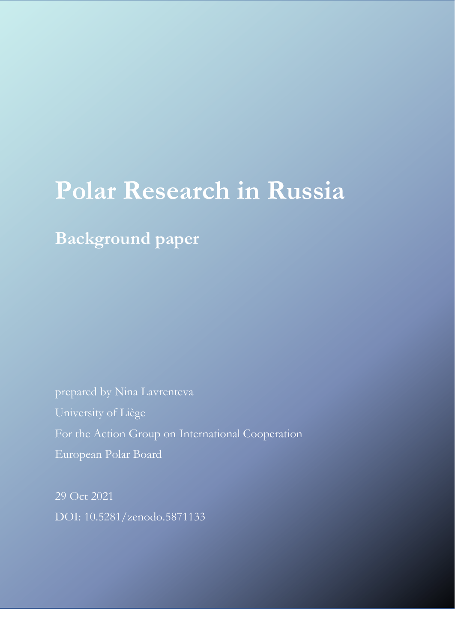# **Polar Research in Russia**

**Background paper**

prepared by Nina Lavrenteva University of Liège For the Action Group on International Cooperation European Polar Board

29 Oct 2021 DOI: 10.5281/zenodo.5871133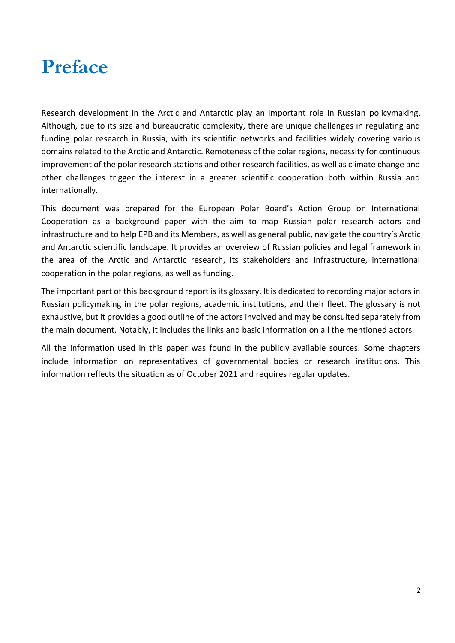## **Preface**

Research development in the Arctic and Antarctic play an important role in Russian policymaking. Although, due to its size and bureaucratic complexity, there are unique challenges in regulating and funding polar research in Russia, with its scientific networks and facilities widely covering various domains related to the Arctic and Antarctic. Remoteness of the polar regions, necessity for continuous improvement of the polar research stations and other research facilities, as well as climate change and other challenges trigger the interest in a greater scientific cooperation both within Russia and internationally.

This document was prepared for the European Polar Board's Action Group on International Cooperation as a background paper with the aim to map Russian polar research actors and infrastructure and to help EPB and its Members, as well as general public, navigate the country's Arctic and Antarctic scientific landscape. It provides an overview of Russian policies and legal framework in the area of the Arctic and Antarctic research, its stakeholders and infrastructure, international cooperation in the polar regions, as well as funding.

The important part of this background report is its glossary. It is dedicated to recording major actors in Russian policymaking in the polar regions, academic institutions, and their fleet. The glossary is not exhaustive, but it provides a good outline of the actors involved and may be consulted separately from the main document. Notably, it includes the links and basic information on all the mentioned actors.

All the information used in this paper was found in the publicly available sources. Some chapters include information on representatives of governmental bodies or research institutions. This information reflects the situation as of October 2021 and requires regular updates.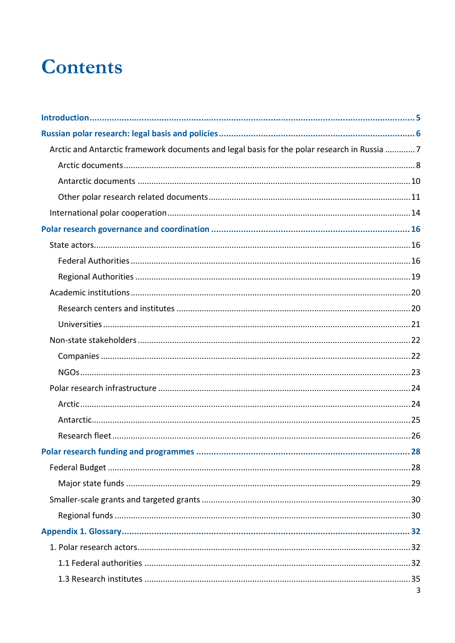## **Contents**

| Arctic and Antarctic framework documents and legal basis for the polar research in Russia 7 |   |
|---------------------------------------------------------------------------------------------|---|
|                                                                                             |   |
|                                                                                             |   |
|                                                                                             |   |
|                                                                                             |   |
|                                                                                             |   |
|                                                                                             |   |
|                                                                                             |   |
|                                                                                             |   |
|                                                                                             |   |
|                                                                                             |   |
|                                                                                             |   |
|                                                                                             |   |
|                                                                                             |   |
|                                                                                             |   |
|                                                                                             |   |
|                                                                                             |   |
|                                                                                             |   |
|                                                                                             |   |
|                                                                                             |   |
|                                                                                             |   |
|                                                                                             |   |
|                                                                                             |   |
|                                                                                             |   |
|                                                                                             |   |
|                                                                                             |   |
|                                                                                             |   |
|                                                                                             |   |
|                                                                                             | 3 |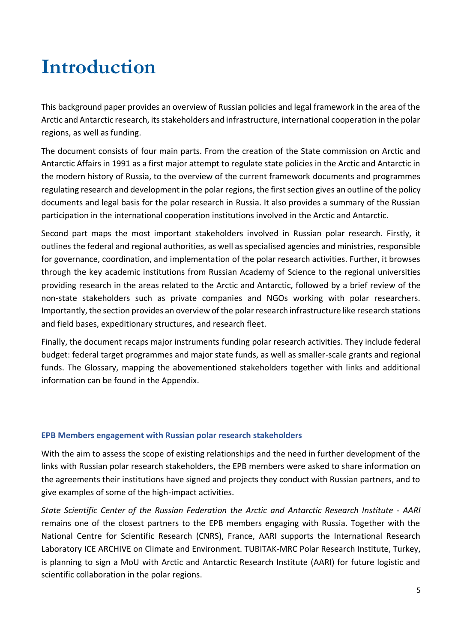## <span id="page-4-0"></span>**Introduction**

This background paper provides an overview of Russian policies and legal framework in the area of the Arctic and Antarctic research, its stakeholders and infrastructure, international cooperation in the polar regions, as well as funding.

The document consists of four main parts. From the creation of the State commission on Arctic and Antarctic Affairs in 1991 as a first major attempt to regulate state policies in the Arctic and Antarctic in the modern history of Russia, to the overview of the current framework documents and programmes regulating research and development in the polar regions, the first section gives an outline of the policy documents and legal basis for the polar research in Russia. It also provides a summary of the Russian participation in the international cooperation institutions involved in the Arctic and Antarctic.

Second part maps the most important stakeholders involved in Russian polar research. Firstly, it outlines the federal and regional authorities, as well as specialised agencies and ministries, responsible for governance, coordination, and implementation of the polar research activities. Further, it browses through the key academic institutions from Russian Academy of Science to the regional universities providing research in the areas related to the Arctic and Antarctic, followed by a brief review of the non-state stakeholders such as private companies and NGOs working with polar researchers. Importantly, the section provides an overview of the polar research infrastructure like research stations and field bases, expeditionary structures, and research fleet.

Finally, the document recaps major instruments funding polar research activities. They include federal budget: federal target programmes and major state funds, as well as smaller-scale grants and regional funds. The Glossary, mapping the abovementioned stakeholders together with links and additional information can be found in the Appendix.

#### **EPB Members engagement with Russian polar research stakeholders**

With the aim to assess the scope of existing relationships and the need in further development of the links with Russian polar research stakeholders, the EPB members were asked to share information on the agreements their institutions have signed and projects they conduct with Russian partners, and to give examples of some of the high-impact activities.

*State Scientific Center of the Russian Federation the Arctic and Antarctic Research Institute - AARI* remains one of the closest partners to the EPB members engaging with Russia. Together with the National Centre for Scientific Research (CNRS), France, AARI supports the International Research Laboratory ICE ARCHIVE on Climate and Environment. TUBITAK-MRC Polar Research Institute, Turkey, is planning to sign a MoU with Arctic and Antarctic Research Institute (AARI) for future logistic and scientific collaboration in the polar regions.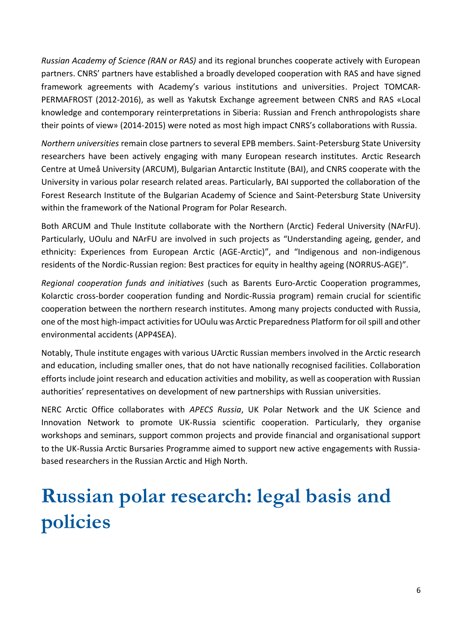*Russian Academy of Science (RAN or RAS)* and its regional brunches cooperate actively with European partners. CNRS' partners have established a broadly developed cooperation with RAS and have signed framework agreements with Academy's various institutions and universities. Project TOMCAR-PERMAFROST (2012-2016), as well as Yakutsk Exchange agreement between CNRS and RAS «Local knowledge and contemporary reinterpretations in Siberia: Russian and French anthropologists share their points of view» (2014-2015) were noted as most high impact CNRS's collaborations with Russia.

*Northern universities* remain close partners to several EPB members. Saint-Petersburg State University researchers have been actively engaging with many European research institutes. Arctic Research Centre at Umeå University (ARCUM), Bulgarian Antarctic Institute (BAI), and CNRS cooperate with the University in various polar research related areas. Particularly, BAI supported the collaboration of the Forest Research Institute of the Bulgarian Academy of Science and Saint-Petersburg State University within the framework of the National Program for Polar Research.

Both ARCUM and Thule Institute collaborate with the Northern (Arctic) Federal University (NArFU). Particularly, UOulu and NArFU are involved in such projects as "Understanding ageing, gender, and ethnicity: Experiences from European Arctic (AGE-Arctic)", and "Indigenous and non-indigenous residents of the Nordic-Russian region: Best practices for equity in healthy ageing (NORRUS-AGE)".

*Regional cooperation funds and initiatives* (such as Barents Euro-Arctic Cooperation programmes, Kolarctic cross-border cooperation funding and Nordic-Russia program) remain crucial for scientific cooperation between the northern research institutes. Among many projects conducted with Russia, one of the most high-impact activities for UOulu was Arctic Preparedness Platform for oil spill and other environmental accidents (APP4SEA).

Notably, Thule institute engages with various UArctic Russian members involved in the Arctic research and education, including smaller ones, that do not have nationally recognised facilities. Collaboration efforts include joint research and education activities and mobility, as well as cooperation with Russian authorities' representatives on development of new partnerships with Russian universities.

NERC Arctic Office collaborates with *APECS Russia*, UK Polar Network and the UK Science and Innovation Network to promote UK-Russia scientific cooperation. Particularly, they organise workshops and seminars, support common projects and provide financial and organisational support to the UK-Russia Arctic Bursaries Programme aimed to support new active engagements with Russiabased researchers in the Russian Arctic and High North.

## <span id="page-5-0"></span>**Russian polar research: legal basis and policies**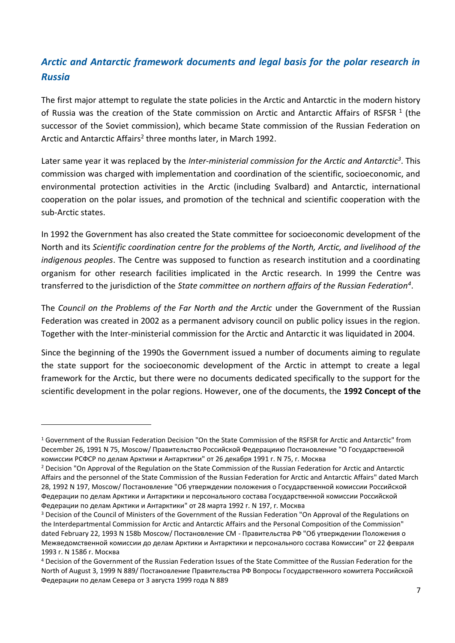## <span id="page-6-0"></span>*Arctic and Antarctic framework documents and legal basis for the polar research in Russia*

The first major attempt to regulate the state policies in the Arctic and Antarctic in the modern history of Russia was the creation of the State commission on Arctic and Antarctic Affairs of RSFSR  $^1$  (the successor of the Soviet commission), which became State commission of the Russian Federation on Arctic and Antarctic Affairs<sup>2</sup> three months later, in March 1992.

Later same year it was replaced by the *Inter-ministerial commission for the Arctic and Antarctic<sup>3</sup>* . This commission was charged with implementation and coordination of the scientific, socioeconomic, and environmental protection activities in the Arctic (including Svalbard) and Antarctic, international cooperation on the polar issues, and promotion of the technical and scientific cooperation with the sub-Arctic states.

In 1992 the Government has also created the State committee for socioeconomic development of the North and its *Scientific coordination centre for the problems of the North, Arctic, and livelihood of the indigenous peoples*. The Centre was supposed to function as research institution and a coordinating organism for other research facilities implicated in the Arctic research. In 1999 the Centre was transferred to the jurisdiction of the *State committee on northern affairs of the Russian Federation<sup>4</sup>* .

The *Council on the Problems of the Far North and the Arctic* under the Government of the Russian Federation was created in 2002 as a permanent advisory council on public policy issues in the region. Together with the Inter-ministerial commission for the Arctic and Antarctic it was liquidated in 2004.

Since the beginning of the 1990s the Government issued a number of documents aiming to regulate the state support for the socioeconomic development of the Arctic in attempt to create a legal framework for the Arctic, but there were no documents dedicated specifically to the support for the scientific development in the polar regions. However, one of the documents, the **1992 Concept of the** 

<sup>1</sup> Government of the Russian Federation Decision "On the State Commission of the RSFSR for Arctic and Antarctic" from December 26, 1991 N 75, Moscow/ Правительство Российской Федерациию Постановление "О Государственной комиссии РСФСР по делам Арктики и Антарктики" от 26 декабря 1991 г. N 75, г. Москва

<sup>&</sup>lt;sup>2</sup> Decision "On Approval of the Regulation on the State Commission of the Russian Federation for Arctic and Antarctic Affairs and the personnel of the State Commission of the Russian Federation for Arctic and Antarctic Affairs" dated March 28, 1992 N 197, Moscow/ Постановление "Об утверждении положения о Государственной комиссии Российской Федерации по делам Арктики и Антарктики и персонального состава Государственной комиссии Российской Федерации по делам Арктики и Антарктики" от 28 марта 1992 г. N 197, г. Москва

<sup>&</sup>lt;sup>3</sup> Decision of the Council of Ministers of the Government of the Russian Federation "On Approval of the Regulations on the Interdepartmental Commission for Arctic and Antarctic Affairs and the Personal Composition of the Commission" dated February 22, 1993 N 158b Moscow/ Постановление СМ - Правительства РФ "Об утверждении Положения о Межведомственной комиссии до делам Арктики и Антарктики и персонального состава Комиссии" от 22 февраля 1993 г. N 158б г. Москва

<sup>4</sup> Decision of the Government of the Russian Federation Issues of the State Committee of the Russian Federation for the North of August 3, 1999 N 889/ Постановление Правительства РФ Вопросы Государственного комитета Российской Федерации по делам Севера от 3 августа 1999 года N 889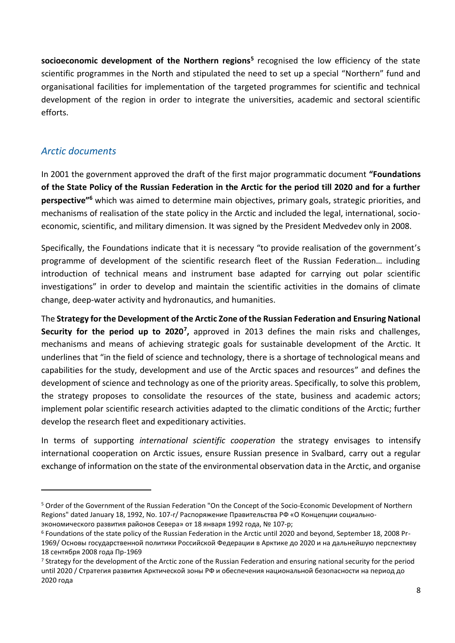**socioeconomic development of the Northern regions<sup>5</sup>** recognised the low efficiency of the state scientific programmes in the North and stipulated the need to set up a special "Northern" fund and organisational facilities for implementation of the targeted programmes for scientific and technical development of the region in order to integrate the universities, academic and sectoral scientific efforts.

## <span id="page-7-0"></span>*Arctic documents*

In 2001 the government approved the draft of the first major programmatic document **"Foundations of the State Policy of the Russian Federation in the Arctic for the period till 2020 and for a further perspective"<sup>6</sup>** which was aimed to determine main objectives, primary goals, strategic priorities, and mechanisms of realisation of the state policy in the Arctic and included the legal, international, socioeconomic, scientific, and military dimension. It was signed by the President Medvedev only in 2008.

Specifically, the Foundations indicate that it is necessary "to provide realisation of the government's programme of development of the scientific research fleet of the Russian Federation… including introduction of technical means and instrument base adapted for carrying out polar scientific investigations" in order to develop and maintain the scientific activities in the domains of climate change, deep-water activity and hydronautics, and humanities.

The **Strategy for the Development of the Arctic Zone of the Russian Federation and Ensuring National**  Security for the period up to 2020<sup>7</sup>, approved in 2013 defines the main risks and challenges, mechanisms and means of achieving strategic goals for sustainable development of the Arctic. It underlines that "in the field of science and technology, there is a shortage of technological means and capabilities for the study, development and use of the Arctic spaces and resources" and defines the development of science and technology as one of the priority areas. Specifically, to solve this problem, the strategy proposes to consolidate the resources of the state, business and academic actors; implement polar scientific research activities adapted to the climatic conditions of the Arctic; further develop the research fleet and expeditionary activities.

In terms of supporting *international scientific cooperation* the strategy envisages to intensify international cooperation on Arctic issues, ensure Russian presence in Svalbard, carry out a regular exchange of information on the state of the environmental observation data in the Arctic, and organise

<sup>5</sup> Order of the Government of the Russian Federation "On the Concept of the Socio-Economic Development of Northern Regions" dated January 18, 1992, No. 107-r/ Распоряжение Правительства РФ «О Концепции социальноэкономического развития районов Севера» от 18 января 1992 года, № 107-р;

<sup>6</sup> Foundations of the state policy of the Russian Federation in the Arctic until 2020 and beyond, September 18, 2008 Pr-1969/ Основы государственной политики Российской Федерации в Арктике до 2020 и на дальнейшую перспективу 18 сентября 2008 года Пр-1969

<sup>&</sup>lt;sup>7</sup> Strategy for the development of the Arctic zone of the Russian Federation and ensuring national security for the period until 2020 / Стратегия развития Арктической зоны РФ и обеспечения национальной безопасности на период до 2020 года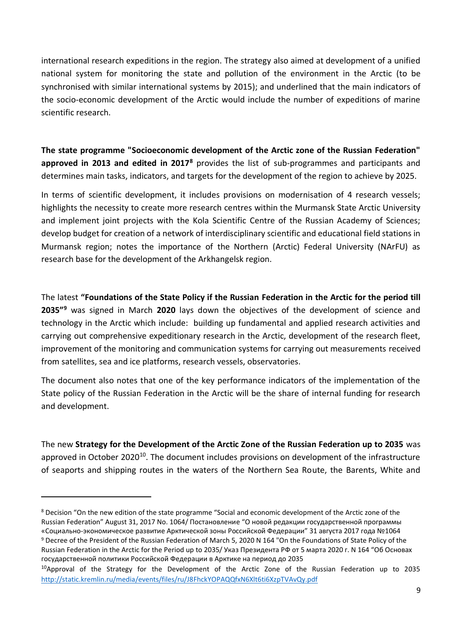international research expeditions in the region. The strategy also aimed at development of a unified national system for monitoring the state and pollution of the environment in the Arctic (to be synchronised with similar international systems by 2015); and underlined that the main indicators of the socio-economic development of the Arctic would include the number of expeditions of marine scientific research.

**The state programme "Socioeconomic development of the Arctic zone of the Russian Federation" approved in 2013 and edited in 2017<sup>8</sup>** provides the list of sub-programmes and participants and determines main tasks, indicators, and targets for the development of the region to achieve by 2025.

In terms of scientific development, it includes provisions on modernisation of 4 research vessels; highlights the necessity to create more research centres within the Murmansk State Arctic University and implement joint projects with the Kola Scientific Centre of the Russian Academy of Sciences; develop budget for creation of a network of interdisciplinary scientific and educational field stations in Murmansk region; notes the importance of the Northern (Arctic) Federal University (NArFU) as research base for the development of the Arkhangelsk region.

The latest **"Foundations of the State Policy if the Russian Federation in the Arctic for the period till 2035"<sup>9</sup>** was signed in March **2020** lays down the objectives of the development of science and technology in the Arctic which include: building up fundamental and applied research activities and carrying out comprehensive expeditionary research in the Arctic, development of the research fleet, improvement of the monitoring and communication systems for carrying out measurements received from satellites, sea and ice platforms, research vessels, observatories.

The document also notes that one of the key performance indicators of the implementation of the State policy of the Russian Federation in the Arctic will be the share of internal funding for research and development.

The new **Strategy for the Development of the Arctic Zone of the Russian Federation up to 2035** was approved in October 2020<sup>10</sup>. The document includes provisions on development of the infrastructure of seaports and shipping routes in the waters of the Northern Sea Route, the Barents, White and

<sup>8</sup> Decision "On the new edition of the state programme "Social and economic development of the Arctic zone of the Russian Federation" August 31, 2017 No. 1064/ Постановление "О новой редакции государственной программы «Социально-экономическое развитие Арктической зоны Российской Федерации" 31 августа 2017 года №1064 <sup>9</sup> Decree of the President of the Russian Federation of March 5, 2020 N 164 "On the Foundations of State Policy of the Russian Federation in the Arctic for the Period up to 2035/ Указ Президента РФ от 5 марта 2020 г. N 164 "Об Основах государственной политики Российской Федерации в Арктике на период до 2035

<sup>&</sup>lt;sup>10</sup>Approval of the Strategy for the Development of the Arctic Zone of the Russian Federation up to 2035 <http://static.kremlin.ru/media/events/files/ru/J8FhckYOPAQQfxN6Xlt6ti6XzpTVAvQy.pdf>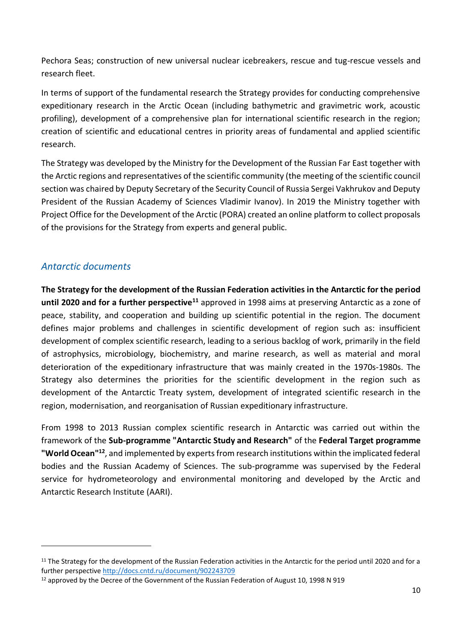Pechora Seas; construction of new universal nuclear icebreakers, rescue and tug-rescue vessels and research fleet.

In terms of support of the fundamental research the Strategy provides for conducting comprehensive expeditionary research in the Arctic Ocean (including bathymetric and gravimetric work, acoustic profiling), development of a comprehensive plan for international scientific research in the region; creation of scientific and educational centres in priority areas of fundamental and applied scientific research.

The Strategy was developed by the Ministry for the Development of the Russian Far East together with the Arctic regions and representatives of the scientific community (the meeting of the scientific council section was chaired by Deputy Secretary of the Security Council of Russia Sergei Vakhrukov and Deputy President of the Russian Academy of Sciences Vladimir Ivanov). In 2019 the Ministry together with Project Office for the Development of the Arctic (PORA) created an online platform to collect proposals of the provisions for the Strategy from experts and general public.

### <span id="page-9-0"></span>*Antarctic documents*

**The Strategy for the development of the Russian Federation activities in the Antarctic for the period until 2020 and for a further perspective<sup>11</sup>** approved in 1998 aims at preserving Antarctic as a zone of peace, stability, and cooperation and building up scientific potential in the region. The document defines major problems and challenges in scientific development of region such as: insufficient development of complex scientific research, leading to a serious backlog of work, primarily in the field of astrophysics, microbiology, biochemistry, and marine research, as well as material and moral deterioration of the expeditionary infrastructure that was mainly created in the 1970s-1980s. The Strategy also determines the priorities for the scientific development in the region such as development of the Antarctic Treaty system, development of integrated scientific research in the region, modernisation, and reorganisation of Russian expeditionary infrastructure.

From 1998 to 2013 Russian complex scientific research in Antarctic was carried out within the framework of the **Sub-programme "Antarctic Study and Research"** of the **Federal Target programme "World Ocean"<sup>12</sup>**, and implemented by experts from research institutions within the implicated federal bodies and the Russian Academy of Sciences. The sub-programme was supervised by the Federal service for hydrometeorology and environmental monitoring and developed by the Arctic and Antarctic Research Institute (AARI).

<sup>&</sup>lt;sup>11</sup> The Strategy for the development of the Russian Federation activities in the Antarctic for the period until 2020 and for a further perspectiv[e http://docs.cntd.ru/document/902243709](http://docs.cntd.ru/document/902243709)

<sup>&</sup>lt;sup>12</sup> approved by the Decree of the Government of the Russian Federation of August 10, 1998 N 919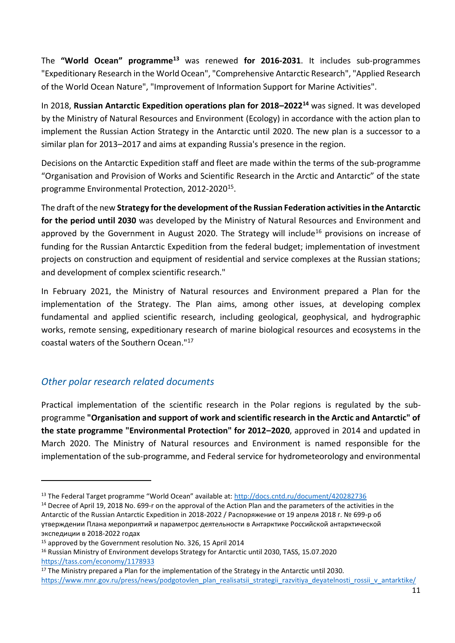The **"World Ocean" programme<sup>13</sup>** was renewed **for 2016-2031**. It includes sub-programmes "Expeditionary Research in the World Ocean", "Comprehensive Antarctic Research", "Applied Research of the World Ocean Nature", "Improvement of Information Support for Marine Activities".

In 2018, **Russian Antarctic Expedition operations plan for 2018–2022<sup>14</sup>** was signed. It was developed by the Ministry of Natural Resources and Environment (Ecology) in accordance with the action plan to implement the Russian Action Strategy in the Antarctic until 2020. The new plan is a successor to a similar plan for 2013–2017 and aims at expanding Russia's presence in the region.

Decisions on the Antarctic Expedition staff and fleet are made within the terms of the sub-programme "Organisation and Provision of Works and Scientific Research in the Arctic and Antarctic" of the state programme Environmental Protection, 2012-2020<sup>15</sup>.

The draft of the new **Strategy for the development of the Russian Federation activities in the Antarctic for the period until 2030** was developed by the Ministry of Natural Resources and Environment and approved by the Government in August 2020. The Strategy will include<sup>16</sup> provisions on increase of funding for the Russian Antarctic Expedition from the federal budget; implementation of investment projects on construction and equipment of residential and service complexes at the Russian stations; and development of complex scientific research."

In February 2021, the Ministry of Natural resources and Environment prepared a Plan for the implementation of the Strategy. The Plan aims, among other issues, at developing complex fundamental and applied scientific research, including geological, geophysical, and hydrographic works, remote sensing, expeditionary research of marine biological resources and ecosystems in the coastal waters of the Southern Ocean."<sup>17</sup>

## <span id="page-10-0"></span>*Other polar research related documents*

Practical implementation of the scientific research in the Polar regions is regulated by the subprogramme **"Organisation and support of work and scientific research in the Arctic and Antarctic" of the state programme "Environmental Protection" for 2012–2020**, approved in 2014 and updated in March 2020. The Ministry of Natural resources and Environment is named responsible for the implementation of the sub-programme, and Federal service for hydrometeorology and environmental

<sup>13</sup> The Federal Target programme "World Ocean" available at: <http://docs.cntd.ru/document/420282736>

<sup>&</sup>lt;sup>14</sup> Decree of April 19, 2018 No. 699-r on the approval of the Action Plan and the parameters of the activities in the Antarctic of the Russian Antarctic Expedition in 2018-2022 / Распоряжение от 19 апреля 2018 г. № 699-р об утверждении Плана мероприятий и параметрос деятельности в Антарктике Российской антарктической экспедиции в 2018-2022 годах

<sup>&</sup>lt;sup>15</sup> approved by the Government resolution No. 326, 15 April 2014

<sup>16</sup> Russian Ministry of Environment develops Strategy for Antarctic until 2030, TASS, 15.07.2020 <https://tass.com/economy/1178933>

<sup>&</sup>lt;sup>17</sup> The Ministry prepared a Plan for the implementation of the Strategy in the Antarctic until 2030. [https://www.mnr.gov.ru/press/news/podgotovlen\\_plan\\_realisatsii\\_strategii\\_razvitiya\\_deyatelnosti\\_rossii\\_v\\_antarktike/](https://www.mnr.gov.ru/press/news/podgotovlen_plan_realizatsii_strategii_razvitiya_deyatelnosti_rossii_v_antarktike/)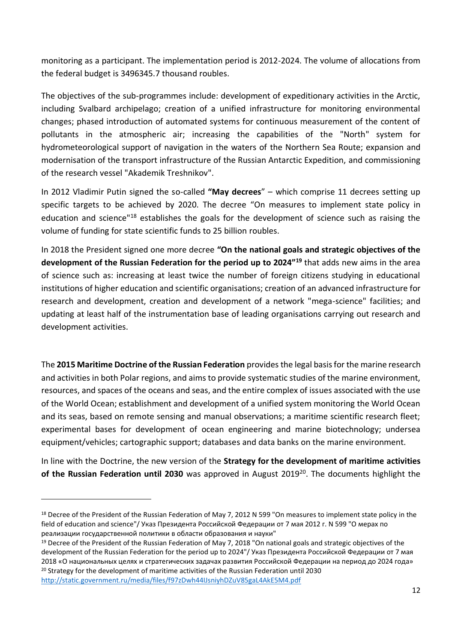monitoring as a participant. The implementation period is 2012-2024. The volume of allocations from the federal budget is 3496345.7 thousand roubles.

The objectives of the sub-programmes include: development of expeditionary activities in the Arctic, including Svalbard archipelago; creation of a unified infrastructure for monitoring environmental changes; phased introduction of automated systems for continuous measurement of the content of pollutants in the atmospheric air; increasing the capabilities of the "North" system for hydrometeorological support of navigation in the waters of the Northern Sea Route; expansion and modernisation of the transport infrastructure of the Russian Antarctic Expedition, and commissioning of the research vessel "Akademik Treshnikov".

In 2012 Vladimir Putin signed the so-called **"May decrees**" – which comprise 11 decrees setting up specific targets to be achieved by 2020. The decree "On measures to implement state policy in education and science"<sup>18</sup> establishes the goals for the development of science such as raising the volume of funding for state scientific funds to 25 billion roubles.

In 2018 the President signed one more decree **"On the national goals and strategic objectives of the development of the Russian Federation for the period up to 2024"<sup>19</sup>** that adds new aims in the area of science such as: increasing at least twice the number of foreign citizens studying in educational institutions of higher education and scientific organisations; creation of an advanced infrastructure for research and development, creation and development of a network "mega-science" facilities; and updating at least half of the instrumentation base of leading organisations carrying out research and development activities.

The **2015 Maritime Doctrine of the Russian Federation** provides the legal basis for the marine research and activities in both Polar regions, and aims to provide systematic studies of the marine environment, resources, and spaces of the oceans and seas, and the entire complex of issues associated with the use of the World Ocean; establishment and development of a unified system monitoring the World Ocean and its seas, based on remote sensing and manual observations; a maritime scientific research fleet; experimental bases for development of ocean engineering and marine biotechnology; undersea equipment/vehicles; cartographic support; databases and data banks on the marine environment.

In line with the Doctrine, the new version of the **Strategy for the development of maritime activities**  of the Russian Federation until 2030 was approved in August 2019<sup>20</sup>. The documents highlight the

<http://static.government.ru/media/files/f97zDwh44IJsniyhDZuV85gaL4AkE5M4.pdf>

<sup>&</sup>lt;sup>18</sup> Decree of the President of the Russian Federation of May 7, 2012 N 599 "On measures to implement state policy in the field of education and science"/ Указ Президента Российской Федерации от 7 мая 2012 г. N 599 "О мерах по реализации государственной политики в области образования и науки"

<sup>&</sup>lt;sup>19</sup> Decree of the President of the Russian Federation of May 7, 2018 "On national goals and strategic objectives of the development of the Russian Federation for the period up to 2024"/ Указ Президента Российской Федерации от 7 мая 2018 «О национальных целях и стратегических задачах развития Российской Федерации на период до 2024 года» <sup>20</sup> Strategy for the development of maritime activities of the Russian Federation until 2030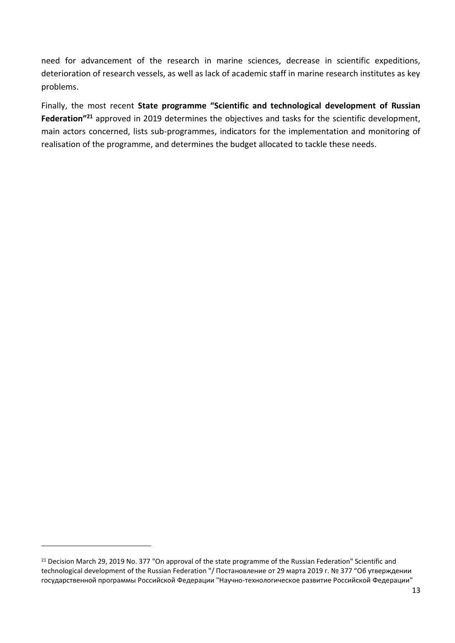need for advancement of the research in marine sciences, decrease in scientific expeditions, deterioration of research vessels, as well as lack of academic staff in marine research institutes as key problems.

Finally, the most recent **State programme "Scientific and technological development of Russian Federation"<sup>21</sup>** approved in 2019 determines the objectives and tasks for the scientific development, main actors concerned, lists sub-programmes, indicators for the implementation and monitoring of realisation of the programme, and determines the budget allocated to tackle these needs.

<sup>&</sup>lt;sup>21</sup> Decision March 29, 2019 No. 377 "On approval of the state programme of the Russian Federation" Scientific and technological development of the Russian Federation "/ Постановление от 29 марта 2019 г. № 377 "Об утверждении государственной программы Российской Федерации "Научно-технологическое развитие Российской Федерации"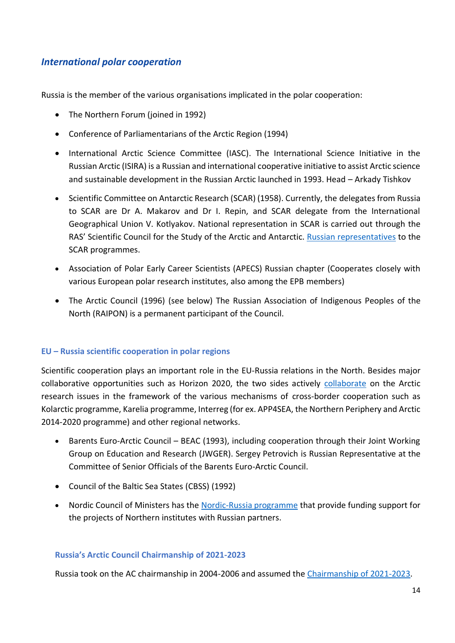## <span id="page-13-0"></span>*International polar cooperation*

Russia is the member of the various organisations implicated in the polar cooperation:

- The Northern Forum (joined in 1992)
- Conference of Parliamentarians of the Arctic Region (1994)
- International Arctic Science Committee (IASC). The International Science Initiative in the Russian Arctic (ISIRA) is a Russian and international cooperative initiative to assist Arctic science and sustainable development in the Russian Arctic launched in 1993. Head – Arkady Tishkov
- Scientific Committee on Antarctic Research (SCAR) (1958). Currently, the delegates from Russia to SCAR are Dr A. Makarov and Dr I. Repin, and SCAR delegate from the International Geographical Union V. Kotlyakov. National representation in SCAR is carried out through the RAS' Scientific Council for the Study of the Arctic and Antarctic. [Russian representatives](http://igras.ru/138) to the SCAR programmes.
- Association of Polar Early Career Scientists (APECS) Russian chapter (Cooperates closely with various European polar research institutes, also among the EPB members)
- The Arctic Council (1996) (see below) The Russian Association of Indigenous Peoples of the North (RAIPON) is a permanent participant of the Council.

#### **EU – Russia scientific cooperation in polar regions**

Scientific cooperation plays an important role in the EU-Russia relations in the North. Besides major collaborative opportunities such as Horizon 2020, the two sides actively [collaborate](https://ec.europa.eu/info/research-and-innovation/strategy/international-cooperation/russia_en) on the Arctic research issues in the framework of the various mechanisms of cross-border cooperation such as Kolarctic programme, Karelia programme, Interreg (for ex. APP4SEA, the Northern Periphery and Arctic 2014-2020 programme) and other regional networks.

- Barents Euro-Arctic Council BEAC (1993), including cooperation through their Joint Working Group on Education and Research (JWGER). Sergey Petrovich is Russian Representative at the Committee of Senior Officials of the Barents Euro-Arctic Council.
- Council of the Baltic Sea States (CBSS) (1992)
- Nordic Council of Ministers has the [Nordic-Russia programme](https://www.norden.org/en/funding-opportunities/nordic-council-ministers-open-call-funding-opportunity-nordic-russian-co) that provide funding support for the projects of Northern institutes with Russian partners.

#### **Russia's Arctic Council Chairmanship of 2021-2023**

Russia took on the AC chairmanship in 2004-2006 and assumed the [Chairmanship of 2021-2023.](https://arctic-council-russia.ru/en/)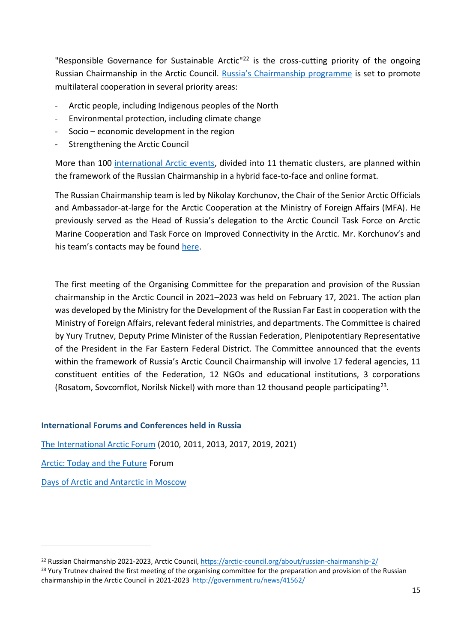"Responsible Governance for Sustainable Arctic<sup>"22</sup> is the cross-cutting priority of the ongoing Russian Chairmanship in the Arctic Council. [Russia's Chairmanship programme](https://oaarchive.arctic-council.org/handle/11374/2646) is set to promote multilateral cooperation in several priority areas:

- Arctic people, including Indigenous peoples of the North
- Environmental protection, including climate change
- Socio economic development in the region
- Strengthening the Arctic Council

More than 100 [international Arctic events,](https://oaarchive.arctic-council.org/handle/11374/2645) divided into 11 thematic clusters, are planned within the framework of the Russian Chairmanship in a hybrid face-to-face and online format.

The Russian Chairmanship team is led by Nikolay Korchunov, the Chair of the Senior Arctic Officials and Ambassador-at-large for the Arctic Cooperation at the Ministry of Foreign Affairs (MFA). He previously served as the Head of Russia's delegation to the Arctic Council Task Force on Arctic Marine Cooperation and Task Force on Improved Connectivity in the Arctic. Mr. Korchunov's and his team's contacts may be found [here.](https://arctic-council.org/about/russian-chairmanship-2/)

The first meeting of the Organising Committee for the preparation and provision of the Russian chairmanship in the Arctic Council in 2021–2023 was held on February 17, 2021. The action plan was developed by the Ministry for the Development of the Russian Far East in cooperation with the Ministry of Foreign Affairs, relevant federal ministries, and departments. The Committee is chaired by Yury Trutnev, Deputy Prime Minister of the Russian Federation, Plenipotentiary Representative of the President in the Far Eastern Federal District. The Committee announced that the events within the framework of Russia's Arctic Council Chairmanship will involve 17 federal agencies, 11 constituent entities of the Federation, 12 NGOs and educational institutions, 3 corporations (Rosatom, Sovcomflot, Norilsk Nickel) with more than 12 thousand people participating<sup>23</sup>.

#### **International Forums and Conferences held in Russia**

[The International Arctic Forum](https://forumarctica.ru/en/) (2010, 2011, 2013, 2017, 2019, 2021)

[Arctic: Today and the Future](http://www.forumarctic.com/eng/conf2020/index.php) Forum

[Days of Arctic and Antarctic in Moscow](http://arctic-days.ru/en/)

<sup>22</sup> Russian Chairmanship 2021-2023, Arctic Council[, https://arctic-council.org/about/russian-chairmanship-2/](https://arctic-council.org/about/russian-chairmanship-2/)

<sup>&</sup>lt;sup>23</sup> Yury Trutnev chaired the first meeting of the organising committee for the preparation and provision of the Russian chairmanship in the Arctic Council in 2021-2023<http://government.ru/news/41562/>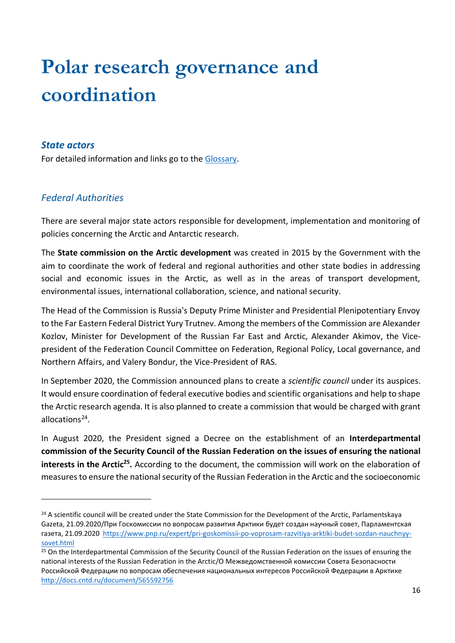# <span id="page-15-0"></span>**Polar research governance and coordination**

#### <span id="page-15-1"></span>*State actors*

For detailed information and links go to the [Glossary.](#page-31-1)

## <span id="page-15-2"></span>*Federal Authorities*

There are several major state actors responsible for development, implementation and monitoring of policies concerning the Arctic and Antarctic research.

The **State commission on the Arctic development** was created in 2015 by the Government with the aim to coordinate the work of federal and regional authorities and other state bodies in addressing social and economic issues in the Arctic, as well as in the areas of transport development, environmental issues, international collaboration, science, and national security.

The Head of the Commission is Russia's Deputy Prime Minister and Presidential Plenipotentiary Envoy to the Far Eastern Federal District Yury Trutnev. Among the members of the Commission are Alexander Kozlov, Minister for Development of the Russian Far East and Arctic, Alexander Akimov, the Vicepresident of the Federation Council Committee on Federation, Regional Policy, Local governance, and Northern Affairs, and Valery Bondur, the Vice-President of RAS.

In September 2020, the Commission announced plans to create a *scientific council* under its auspices. It would ensure coordination of federal executive bodies and scientific organisations and help to shape the Arctic research agenda. It is also planned to create a commission that would be charged with grant allocations<sup>24</sup>.

In August 2020, the President signed a Decree on the establishment of an **Interdepartmental commission of the Security Council of the Russian Federation on the issues of ensuring the national interests in the Arctic<sup>25</sup>.** According to the document, the commission will work on the elaboration of measures to ensure the national security of the Russian Federation in the Arctic and the socioeconomic

<sup>&</sup>lt;sup>24</sup> A scientific council will be created under the State Commission for the Development of the Arctic, Parlamentskaya Gazeta, 21.09.2020/При Госкомиссии по вопросам развития Арктики будет создан научный совет, Парламентская газета, 21.09.2020 [https://www.pnp.ru/expert/pri-goskomissii-po-voprosam-razvitiya-arktiki-budet-sozdan-nauchnyy](https://www.pnp.ru/expert/pri-goskomissii-po-voprosam-razvitiya-arktiki-budet-sozdan-nauchnyy-sovet.html)[sovet.html](https://www.pnp.ru/expert/pri-goskomissii-po-voprosam-razvitiya-arktiki-budet-sozdan-nauchnyy-sovet.html)

<sup>&</sup>lt;sup>25</sup> On the Interdepartmental Commission of the Security Council of the Russian Federation on the issues of ensuring the national interests of the Russian Federation in the Arctic/О Межведомственной комиссии Совета Безопасности Российской Федерации по вопросам обеспечения национальных интересов Российской Федерации в Арктике <http://docs.cntd.ru/document/565592756>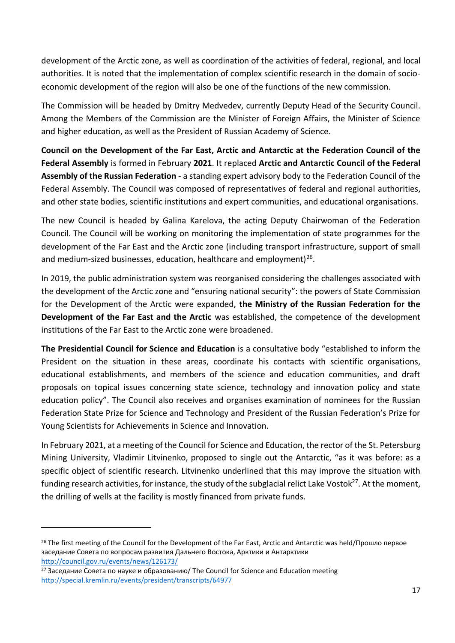development of the Arctic zone, as well as coordination of the activities of federal, regional, and local authorities. It is noted that the implementation of complex scientific research in the domain of socioeconomic development of the region will also be one of the functions of the new commission.

The Commission will be headed by Dmitry Medvedev, currently Deputy Head of the Security Council. Among the Members of the Commission are the Minister of Foreign Affairs, the Minister of Science and higher education, as well as the President of Russian Academy of Science.

**Council on the Development of the Far East, Arctic and Antarctic at the Federation Council of the Federal Assembly** is formed in February **2021**. It replaced **Arctic and Antarctic Council of the Federal Assembly of the Russian Federation** - a standing expert advisory body to the Federation Council of the Federal Assembly. The Council was composed of representatives of federal and regional authorities, and other state bodies, scientific institutions and expert communities, and educational organisations.

The new Council is headed by Galina Karelova, the acting Deputy Chairwoman of the Federation Council. The Council will be working on monitoring the implementation of state programmes for the development of the Far East and the Arctic zone (including transport infrastructure, support of small and medium-sized businesses, education, healthcare and employment)<sup>26</sup>.

In 2019, the public administration system was reorganised considering the challenges associated with the development of the Arctic zone and "ensuring national security": the powers of State Commission for the Development of the Arctic were expanded, **the Ministry of the Russian Federation for the Development of the Far East and the Arctic** was established, the competence of the development institutions of the Far East to the Arctic zone were broadened.

**The Presidential Council for Science and Education** is a consultative body "established to inform the President on the situation in these areas, coordinate his contacts with scientific organisations, educational establishments, and members of the science and education communities, and draft proposals on topical issues concerning state science, technology and innovation policy and state education policy". The Council also receives and organises examination of nominees for the Russian Federation State Prize for Science and Technology and President of the Russian Federation's Prize for Young Scientists for Achievements in Science and Innovation.

In February 2021, at a meeting of the Council for Science and Education, the rector of the St. Petersburg Mining University, Vladimir Litvinenko, proposed to single out the Antarctic, "as it was before: as a specific object of scientific research. Litvinenko underlined that this may improve the situation with funding research activities, for instance, the study of the subglacial relict Lake Vostok<sup>27</sup>. At the moment, the drilling of wells at the facility is mostly financed from private funds.

<sup>&</sup>lt;sup>26</sup> The first meeting of the Council for the Development of the Far East, Arctic and Antarctic was held/Прошло первое заседание Совета по вопросам развития Дальнего Востока, Арктики и Антарктики <http://council.gov.ru/events/news/126173/>

<sup>&</sup>lt;sup>27</sup> Заседание Совета по науке и образованию/ The Council for Science and Education meeting <http://special.kremlin.ru/events/president/transcripts/64977>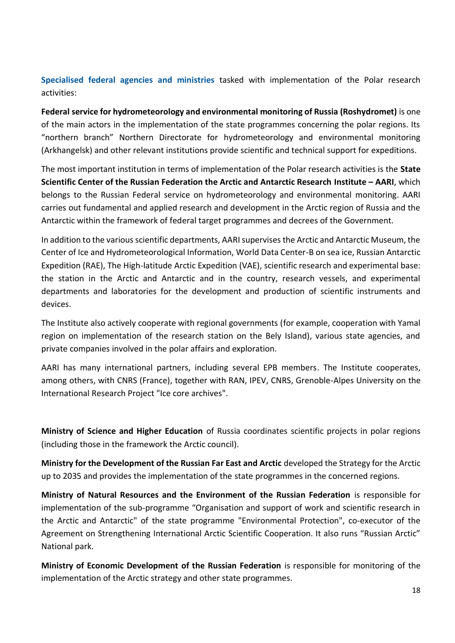**Specialised federal agencies and ministries** tasked with implementation of the Polar research activities:

**Federal service for hydrometeorology and environmental monitoring of Russia (Roshydromet)** is one of the main actors in the implementation of the state programmes concerning the polar regions. Its "northern branch" Northern Directorate for hydrometeorology and environmental monitoring (Arkhangelsk) and other relevant institutions provide scientific and technical support for expeditions.

The most important institution in terms of implementation of the Polar research activities is the **State Scientific Center of the Russian Federation the Arctic and Antarctic Research Institute – AARI**, which belongs to the Russian Federal service on hydrometeorology and environmental monitoring. AARI carries out fundamental and applied research and development in the Arctic region of Russia and the Antarctic within the framework of federal target programmes and decrees of the Government.

In addition to the various scientific departments, AARI supervises the Arctic and Antarctic Museum, the Center of Ice and Hydrometeorological Information, World Data Center-B on sea ice, Russian Antarctic Expedition (RAE), The High-latitude Arctic Expedition (VAE), scientific research and experimental base: the station in the Arctic and Antarctic and in the country, research vessels, and experimental departments and laboratories for the development and production of scientific instruments and devices.

The Institute also actively cooperate with regional governments (for example, cooperation with Yamal region on implementation of the research station on the Bely Island), various state agencies, and private companies involved in the polar affairs and exploration.

AARI has many international partners, including several EPB members. The Institute cooperates, among others, with CNRS (France), together with RAN, IPEV, CNRS, Grenoble-Alpes University on the International Research Project "Ice core archives".

**Ministry of Science and Higher Education** of Russia coordinates scientific projects in polar regions (including those in the framework the Arctic council).

**Ministry for the Development of the Russian Far East and Arctic** developed the Strategy for the Arctic up to 2035 and provides the implementation of the state programmes in the concerned regions.

**Ministry of Natural Resources and the Environment of the Russian Federation** is responsible for implementation of the sub-programme "Organisation and support of work and scientific research in the Arctic and Antarctic" of the state programme "Environmental Protection", co-executor of the Agreement on Strengthening International Arctic Scientific Cooperation. It also runs "Russian Arctic" National park.

**Ministry of Economic Development of the Russian Federation** is responsible for monitoring of the implementation of the Arctic strategy and other state programmes.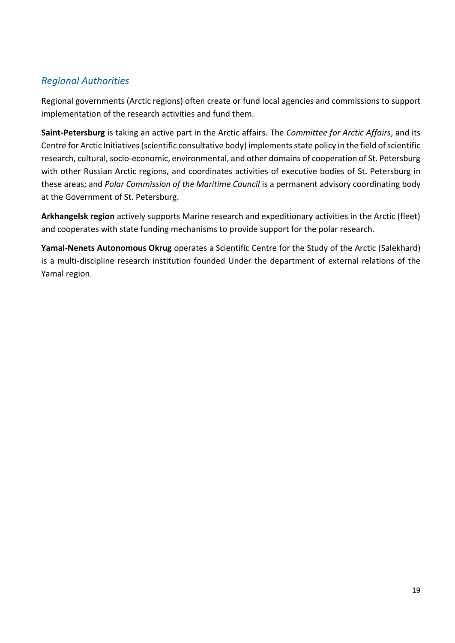## <span id="page-18-0"></span>*Regional Authorities*

Regional governments (Arctic regions) often create or fund local agencies and commissions to support implementation of the research activities and fund them.

**Saint-Petersburg** is taking an active part in the Arctic affairs. The *Committee for Arctic Affairs*, and its Centre for Arctic Initiatives (scientific consultative body) implements state policy in the field of scientific research, cultural, socio-economic, environmental, and other domains of cooperation of St. Petersburg with other Russian Arctic regions, and coordinates activities of executive bodies of St. Petersburg in these areas; and *Polar Commission of the Maritime Council* is a permanent advisory coordinating body at the Government of St. Petersburg.

**Arkhangelsk region** actively supports Marine research and expeditionary activities in the Arctic (fleet) and cooperates with state funding mechanisms to provide support for the polar research.

**Yamal-Nenets Autonomous Okrug** operates a Scientific Centre for the Study of the Arctic (Salekhard) is a multi-discipline research institution founded Under the department of external relations of the Yamal region.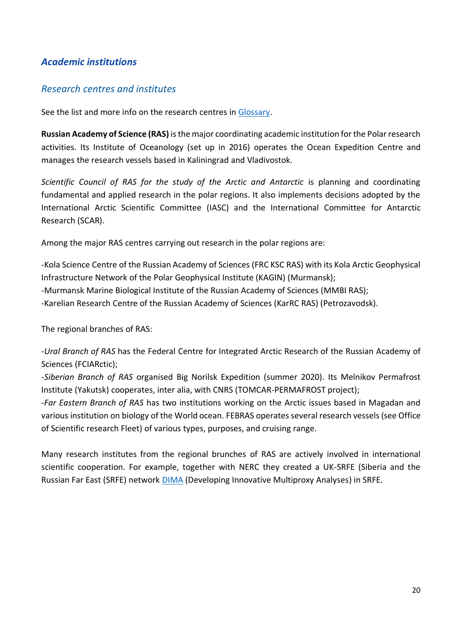## <span id="page-19-0"></span>*Academic institutions*

## <span id="page-19-1"></span>*Research centres and institutes*

See the list and more info on the research centres i[n Glossary.](#page-34-0)

**Russian Academy of Science (RAS)** is the major coordinating academic institution for the Polar research activities. Its Institute of Oceanology (set up in 2016) operates the Ocean Expedition Centre and manages the research vessels based in Kaliningrad and Vladivostok.

*Scientific Council of RAS for the study of the Arctic and Antarctic* is planning and coordinating fundamental and applied research in the polar regions. It also implements decisions adopted by the International Arctic Scientific Committee (IASC) and the International Committee for Antarctic Research (SCAR).

Among the major RAS centres carrying out research in the polar regions are:

-Kola Science Centre of the Russian Academy of Sciences (FRC KSC RAS) with its Kola Arctic Geophysical Infrastructure Network of the Polar Geophysical Institute (KAGIN) (Murmansk);

-Murmansk Marine Biological Institute of the Russian Academy of Sciences (MMBI RAS);

-Karelian Research Centre of the Russian Academy of Sciences (KarRC RAS) (Petrozavodsk).

The regional branches of RAS:

-*Ural Branch of RAS* has the Federal Centre for Integrated Arctic Research of the Russian Academy of Sciences (FCIARctic);

-*Siberian Branch of RAS* organised Big Norilsk Expedition (summer 2020). Its Melnikov Permafrost Institute (Yakutsk) cooperates, inter alia, with CNRS (TOMCAR-PERMAFROST project);

-*Far Eastern Branch of RAS* has two institutions working on the Arctic issues based in Magadan and various institution on biology of the World ocean. FEBRAS operates several research vessels (see Office of Scientific research Fleet) of various types, purposes, and cruising range.

Many research institutes from the regional brunches of RAS are actively involved in international scientific cooperation. For example, together with NERC they created a UK-SRFE (Siberia and the Russian Far East (SRFE) network [DIMA](https://research.ncl.ac.uk/dima/) (Developing Innovative Multiproxy Analyses) in SRFE.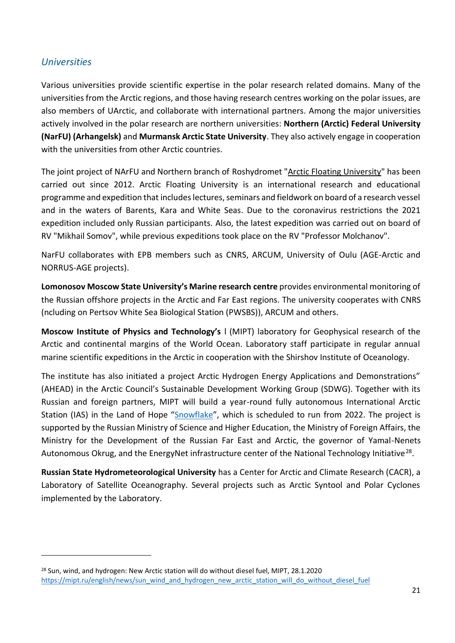## <span id="page-20-0"></span>*Universities*

Various universities provide scientific expertise in the polar research related domains. Many of the universities from the Arctic regions, and those having research centres working on the polar issues, are also members of UArctic, and collaborate with international partners. Among the major universities actively involved in the polar research are northern universities: **Northern (Arctic) Federal University (NarFU) (Arhangelsk)** and **Murmansk Arctic State University**. They also actively engage in cooperation with the universities from other Arctic countries.

The joint project of NArFU and Northern branch of Roshydromet ["Arctic Floating University"](https://narfu.ru/science/expeditions/floating_university/) has been carried out since 2012. Arctic Floating University is an international research and educational programme and expedition that includes lectures, seminars and fieldwork on board of a research vessel and in the waters of Barents, Kara and White Seas. Due to the coronavirus restrictions the 2021 expedition included only Russian participants. Also, the latest expedition was carried out on board of RV "Mikhail Somov", while previous expeditions took place on the RV "Professor Molchanov".

NarFU collaborates with EPB members such as CNRS, ARCUM, University of Oulu (AGE-Arctic and NORRUS-AGE projects).

**Lomonosov Moscow State University's Marine research centre** provides environmental monitoring of the Russian offshore projects in the Arctic and Far East regions. The university cooperates with CNRS (ncluding on Pertsov White Sea Biological Station (PWSBS)), ARCUM and others.

**Moscow Institute of Physics and Technology's** l (MIPT) laboratory for Geophysical research of the Arctic and continental margins of the World Ocean. Laboratory staff participate in regular annual marine scientific expeditions in the Arctic in cooperation with the Shirshov Institute of Oceanology.

The institute has also initiated a project Arctic Hydrogen Energy Applications and Demonstrations" (AHEAD) in the Arctic Council's Sustainable Development Working Group (SDWG). Together with its Russian and foreign partners, MIPT will build a year-round fully autonomous International Arctic Station (IAS) in the Land of Hope "[Snowflake](https://arctic-mipt.com/en#rec155877296)", which is scheduled to run from 2022. The project is supported by the Russian Ministry of Science and Higher Education, the Ministry of Foreign Affairs, the Ministry for the Development of the Russian Far East and Arctic, the governor of Yamal-Nenets Autonomous Okrug, and the EnergyNet infrastructure center of the National Technology Initiative<sup>28</sup>.

**Russian State Hydrometeorological University** has a Center for Arctic and Climate Research (CACR), a Laboratory of Satellite Oceanography. Several projects such as Arctic Syntool and Polar Cyclones implemented by the Laboratory.

<sup>&</sup>lt;sup>28</sup> Sun, wind, and hydrogen: New Arctic station will do without diesel fuel, MIPT, 28.1.2020 https://mipt.ru/english/news/sun\_wind\_and\_hydrogen\_new\_arctic\_station\_will\_do\_without\_diesel\_fuel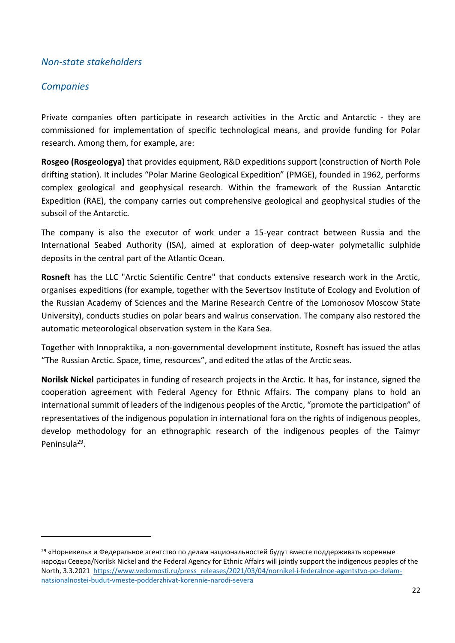### <span id="page-21-0"></span>*Non-state stakeholders*

## <span id="page-21-1"></span>*Companies*

Private companies often participate in research activities in the Arctic and Antarctic - they are commissioned for implementation of specific technological means, and provide funding for Polar research. Among them, for example, are:

**Rosgeo (Rosgeologya)** that provides equipment, R&D expeditions support (construction of North Pole drifting station). It includes "Polar Marine Geological Expedition" (PMGE), founded in 1962, performs complex geological and geophysical research. Within the framework of the Russian Antarctic Expedition (RAE), the company carries out comprehensive geological and geophysical studies of the subsoil of the Antarctic.

The company is also the executor of work under a 15-year contract between Russia and the International Seabed Authority (ISA), aimed at exploration of deep-water polymetallic sulphide deposits in the central part of the Atlantic Ocean.

**Rosneft** has the LLC "Arctic Scientific Centre" that conducts extensive research work in the Arctic, organises expeditions (for example, together with the Severtsov Institute of Ecology and Evolution of the Russian Academy of Sciences and the Marine Research Centre of the Lomonosov Moscow State University), conducts studies on polar bears and walrus conservation. The company also restored the automatic meteorological observation system in the Kara Sea.

Together with Innopraktika, a non-governmental development institute, Rosneft has issued the atlas "The Russian Arctic. Space, time, resources", and edited the atlas of the Arctic seas.

**Norilsk Nickel** participates in funding of research projects in the Arctic. It has, for instance, signed the cooperation agreement with Federal Agency for Ethnic Affairs. The company plans to hold an international summit of leaders of the indigenous peoples of the Arctic, "promote the participation" of representatives of the indigenous population in international fora on the rights of indigenous peoples, develop methodology for an ethnographic research of the indigenous peoples of the Taimyr Peninsula<sup>29</sup>.

<sup>&</sup>lt;sup>29</sup> «Норникель» и Федеральное агентство по делам национальностей будут вместе поддерживать коренные народы Севера/Norilsk Nickel and the Federal Agency for Ethnic Affairs will jointly support the indigenous peoples of the North, 3.3.2021 [https://www.vedomosti.ru/press\\_releases/2021/03/04/nornikel-i-federalnoe-agentstvo-po-delam](https://www.vedomosti.ru/press_releases/2021/03/04/nornikel-i-federalnoe-agentstvo-po-delam-natsionalnostei-budut-vmeste-podderzhivat-korennie-narodi-severa)[natsionalnostei-budut-vmeste-podderzhivat-korennie-narodi-severa](https://www.vedomosti.ru/press_releases/2021/03/04/nornikel-i-federalnoe-agentstvo-po-delam-natsionalnostei-budut-vmeste-podderzhivat-korennie-narodi-severa)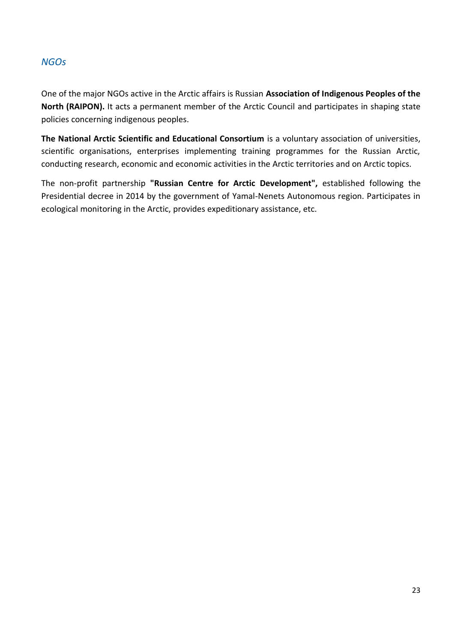## <span id="page-22-0"></span>*NGOs*

One of the major NGOs active in the Arctic affairs is Russian **Association of Indigenous Peoples of the North (RAIPON).** It acts a permanent member of the Arctic Council and participates in shaping state policies concerning indigenous peoples.

**The National Arctic Scientific and Educational Consortium** is a voluntary association of universities, scientific organisations, enterprises implementing training programmes for the Russian Arctic, conducting research, economic and economic activities in the Arctic territories and on Arctic topics.

The non-profit partnership **"Russian Centre for Arctic Development",** established following the Presidential decree in 2014 by the government of Yamal-Nenets Autonomous region. Participates in ecological monitoring in the Arctic, provides expeditionary assistance, etc.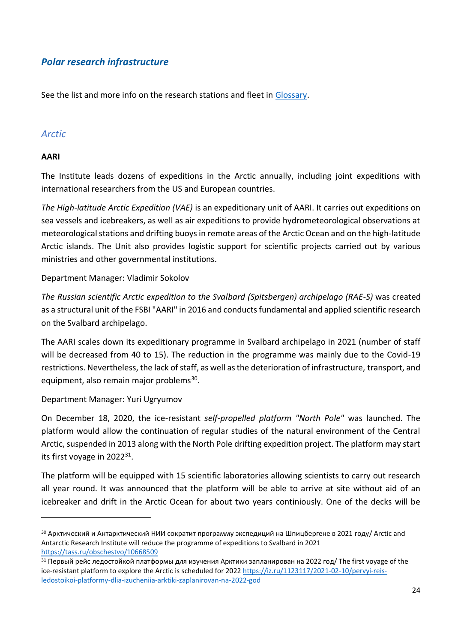## <span id="page-23-0"></span>*Polar research infrastructure*

See the list and more info on the research stations and fleet in [Glossary.](#page-39-0)

#### <span id="page-23-1"></span>*Arctic*

#### **AARI**

The Institute leads dozens of expeditions in the Arctic annually, including joint expeditions with international researchers from the US and European countries.

*The High-latitude Arctic Expedition (VAE)* is an expeditionary unit of AARI. It carries out expeditions on sea vessels and icebreakers, as well as air expeditions to provide hydrometeorological observations at meteorological stations and drifting buoys in remote areas of the Arctic Ocean and on the high-latitude Arctic islands. The Unit also provides logistic support for scientific projects carried out by various ministries and other governmental institutions.

Department Manager: Vladimir Sokolov

*The Russian scientific Arctic expedition to the Svalbard (Spitsbergen) archipelago (RAE-S)* was created as a structural unit of the FSBI "AARI" in 2016 and conductsfundamental and applied scientific research on the Svalbard archipelago.

The AARI scales down its expeditionary programme in Svalbard archipelago in 2021 (number of staff will be decreased from 40 to 15). The reduction in the programme was mainly due to the Covid-19 restrictions. Nevertheless, the lack of staff, as well as the deterioration of infrastructure, transport, and equipment, also remain major problems<sup>30</sup>.

#### Department Manager: Yuri Ugryumov

On December 18, 2020, the ice-resistant *self-propelled platform "North Pole"* was launched. The platform would allow the continuation of regular studies of the natural environment of the Central Arctic, suspended in 2013 along with the North Pole drifting expedition project. The platform may start its first voyage in 2022<sup>31</sup>.

The platform will be equipped with 15 scientific laboratories allowing scientists to carry out research all year round. It was announced that the platform will be able to arrive at site without aid of an icebreaker and drift in the Arctic Ocean for about two years continiously. One of the decks will be

<sup>&</sup>lt;sup>30</sup> Арктический и Антарктический НИИ сократит программу экспедиций на Шпицбергене в 2021 году/ Arctic and Antarctic Research Institute will reduce the programme of expeditions to Svalbard in 2021 <https://tass.ru/obschestvo/10668509>

 $31$  Первый рейс ледостойкой платформы для изучения Арктики запланирован на 2022 год/ The first voyage of the ice-resistant platform to explore the Arctic is scheduled for 202[2 https://iz.ru/1123117/2021-02-10/pervyi-reis](https://iz.ru/1123117/2021-02-10/pervyi-reis-ledostoikoi-platformy-dlia-izucheniia-arktiki-zaplanirovan-na-2022-god)[ledostoikoi-platformy-dlia-izucheniia-arktiki-zaplanirovan-na-2022-god](https://iz.ru/1123117/2021-02-10/pervyi-reis-ledostoikoi-platformy-dlia-izucheniia-arktiki-zaplanirovan-na-2022-god)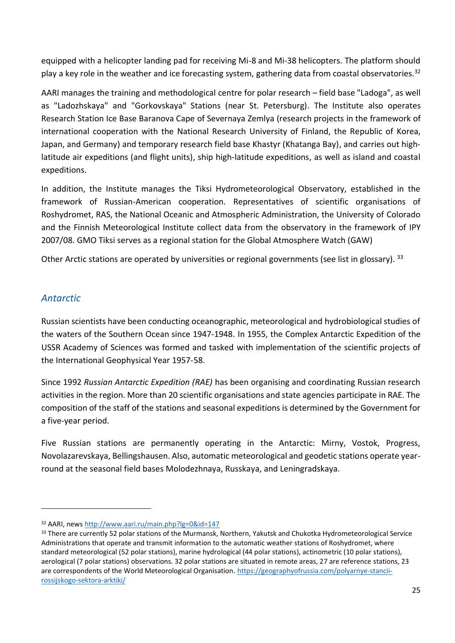equipped with a helicopter landing pad for receiving Mi-8 and Mi-38 helicopters. The platform should play a key role in the weather and ice forecasting system, gathering data from coastal observatories.<sup>32</sup>

AARI manages the training and methodological centre for polar research – field base "Ladoga", as well as "Ladozhskaya" and "Gorkovskaya" Stations (near St. Petersburg). The Institute also operates Research Station Ice Base Baranova Cape of Severnaya Zemlya (research projects in the framework of international cooperation with the National Research University of Finland, the Republic of Korea, Japan, and Germany) and temporary research field base Khastyr (Khatanga Bay), and carries out highlatitude air expeditions (and flight units), ship high-latitude expeditions, as well as island and coastal expeditions.

In addition, the Institute manages the Tiksi Hydrometeorological Observatory, established in the framework of Russian-American cooperation. Representatives of scientific organisations of Roshydromet, RAS, the National Oceanic and Atmospheric Administration, the University of Colorado and the Finnish Meteorological Institute collect data from the observatory in the framework of IPY 2007/08. GMO Tiksi serves as a regional station for the Global Atmosphere Watch (GAW)

Other Arctic stations are operated by universities or regional governments (see list in glossary). 33

### <span id="page-24-0"></span>*Antarctic*

Russian scientists have been conducting oceanographic, meteorological and hydrobiological studies of the waters of the Southern Ocean since 1947-1948. In 1955, the Complex Antarctic Expedition of the USSR Academy of Sciences was formed and tasked with implementation of the scientific projects of the International Geophysical Year 1957-58.

Since 1992 *Russian Antarctic Expedition (RAE)* has been organising and coordinating Russian research activities in the region. More than 20 scientific organisations and state agencies participate in RAE. The composition of the staff of the stations and seasonal expeditions is determined by the Government for a five-year period.

Five Russian stations are permanently operating in the Antarctic: Mirny, Vostok, Progress, Novolazarevskaya, Bellingshausen. Also, automatic meteorological and geodetic stations operate yearround at the seasonal field bases Molodezhnaya, Russkaya, and Leningradskaya.

<sup>32</sup> AARI, new[s http://www.aari.ru/main.php?lg=0&id=147](http://www.aari.ru/main.php?lg=0&id=147)

<sup>&</sup>lt;sup>33</sup> There are currently 52 polar stations of the Murmansk, Northern, Yakutsk and Chukotka Hydrometeorological Service Administrations that operate and transmit information to the automatic weather stations of Roshydromet, where standard meteorological (52 polar stations), marine hydrological (44 polar stations), actinometric (10 polar stations), aerological (7 polar stations) observations. 32 polar stations are situated in remote areas, 27 are reference stations, 23 are correspondents of the World Meteorological Organisation. [https://geographyofrussia.com/polyarnye-stancii](https://geographyofrussia.com/polyarnye-stancii-rossijskogo-sektora-arktiki/)[rossijskogo-sektora-arktiki/](https://geographyofrussia.com/polyarnye-stancii-rossijskogo-sektora-arktiki/)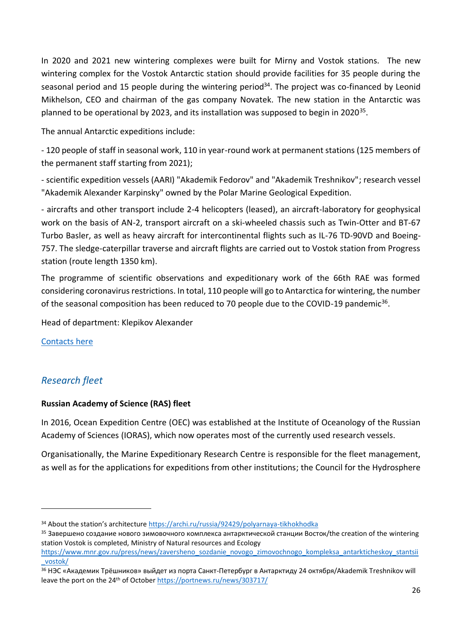In 2020 and 2021 new wintering complexes were built for Mirny and Vostok stations. The new wintering complex for the Vostok Antarctic station should provide facilities for 35 people during the seasonal period and 15 people during the wintering period<sup>34</sup>. The project was co-financed by Leonid Mikhelson, CEO and chairman of the gas company Novatek. The new station in the Antarctic was planned to be operational by 2023, and its installation was supposed to begin in 2020<sup>35</sup>.

The annual Antarctic expeditions include:

- 120 people of staff in seasonal work, 110 in year-round work at permanent stations (125 members of the permanent staff starting from 2021);

- scientific expedition vessels (AARI) "Akademik Fedorov" and "Akademik Treshnikov"; research vessel "Akademik Alexander Karpinsky" owned by the Polar Marine Geological Expedition.

- aircrafts and other transport include 2-4 helicopters (leased), an aircraft-laboratory for geophysical work on the basis of AN-2, transport aircraft on a ski-wheeled chassis such as Twin-Otter and BT-67 Turbo Basler, as well as heavy aircraft for intercontinental flights such as IL-76 TD-90VD and Boeing-757. The sledge-caterpillar traverse and aircraft flights are carried out to Vostok station from Progress station (route length 1350 km).

The programme of scientific observations and expeditionary work of the 66th RAE was formed considering coronavirus restrictions. In total, 110 people will go to Antarctica for wintering, the number of the seasonal composition has been reduced to 70 people due to the COVID-19 pandemic<sup>36</sup>.

Head of department: Klepikov Alexander

[Contacts](http://raexp.ru/asd38-asd44/) here

## <span id="page-25-0"></span>*Research fleet*

#### **Russian Academy of Science (RAS) fleet**

In 2016, Ocean Expedition Centre (OEC) was established at the Institute of Oceanology of the Russian Academy of Sciences (IORAS), which now operates most of the currently used research vessels.

Organisationally, the Marine Expeditionary Research Centre is responsible for the fleet management, as well as for the applications for expeditions from other institutions; the Council for the Hydrosphere

<sup>34</sup> About the station's architecture https://archi.ru/russia/92429/polyarnaya-tikhokhodka

<sup>&</sup>lt;sup>35</sup> Завершено создание нового зимовочного комплекса антарктической станции Восток/the creation of the wintering station Vostok is completed, Ministry of Natural resources and Ecology

[https://www.mnr.gov.ru/press/news/zaversheno\\_sozdanie\\_novogo\\_zimovochnogo\\_kompleksa\\_antarkticheskoy\\_stantsii](https://www.mnr.gov.ru/press/news/zaversheno_sozdanie_novogo_zimovochnogo_kompleksa_antarkticheskoy_stantsii_vostok/) [\\_vostok/](https://www.mnr.gov.ru/press/news/zaversheno_sozdanie_novogo_zimovochnogo_kompleksa_antarkticheskoy_stantsii_vostok/)

<sup>&</sup>lt;sup>36</sup> НЭС «Академик Трёшников» выйдет из порта Санкт-Петербург в Антарктиду 24 октября/Akademik Treshnikov will leave the port on the 24<sup>th</sup> of October<https://portnews.ru/news/303717/>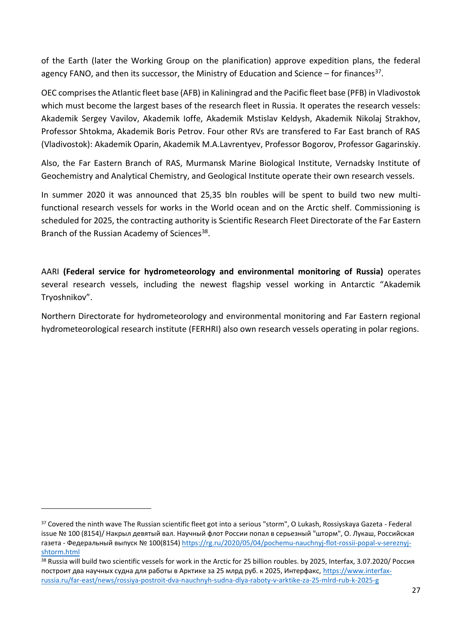of the Earth (later the Working Group on the planification) approve expedition plans, the federal agency FANO, and then its successor, the Ministry of Education and Science – for finances<sup>37</sup>.

OEC comprises the Atlantic fleet base (AFB) in Kaliningrad and the Pacific fleet base (PFB) in Vladivostok which must become the largest bases of the research fleet in Russia. It operates the research vessels: Akademik Sergey Vavilov, Akademik Ioffe, Akademik Mstislav Keldysh, Akademik Nikolaj Strakhov, Professor Shtokma, Akademik Boris Petrov. Four other RVs are transfered to Far East branch of RAS (Vladivostok): Akademik Oparin, Akademik M.A.Lavrentyev, Professor Bogorov, Professor Gagarinskiy.

Also, the Far Eastern Branch of RAS, Murmansk Marine Biological Institute, Vernadsky Institute of Geochemistry and Analytical Chemistry, and Geological Institute operate their own research vessels.

In summer 2020 it was announced that 25,35 bln roubles will be spent to build two new multifunctional research vessels for works in the World ocean and on the Arctic shelf. Commissioning is scheduled for 2025, the contracting authority is Scientific Research Fleet Directorate of the Far Eastern Branch of the Russian Academy of Sciences<sup>38</sup>.

AARI **(Federal service for hydrometeorology and environmental monitoring of Russia)** operates several research vessels, including the newest flagship vessel working in Antarctic "Akademik Tryoshnikov".

Northern Directorate for hydrometeorology and environmental monitoring and Far Eastern regional hydrometeorological research institute (FERHRI) also own research vessels operating in polar regions.

<sup>&</sup>lt;sup>37</sup> Covered the ninth wave The Russian scientific fleet got into a serious "storm", O Lukash, Rossiyskaya Gazeta - Federal issue № 100 (8154)/ Накрыл девятый вал. Научный флот России попал в серьезный "шторм", О. Лукаш, Российская газета - Федеральный выпуск № 100(8154) [https://rg.ru/2020/05/04/pochemu-nauchnyj-flot-rossii-popal-v-sereznyj](https://rg.ru/2020/05/04/pochemu-nauchnyj-flot-rossii-popal-v-sereznyj-shtorm.html)[shtorm.html](https://rg.ru/2020/05/04/pochemu-nauchnyj-flot-rossii-popal-v-sereznyj-shtorm.html) 

<sup>38</sup> Russia will build two scientific vessels for work in the Arctic for 25 billion roubles. by 2025, Interfax, 3.07.2020/ Россия построит два научных судна для работы в Арктике за 25 млрд руб. к 2025, Интерфакс, [https://www.interfax](https://www.interfax-russia.ru/far-east/news/rossiya-postroit-dva-nauchnyh-sudna-dlya-raboty-v-arktike-za-25-mlrd-rub-k-2025-g)[russia.ru/far-east/news/rossiya-postroit-dva-nauchnyh-sudna-dlya-raboty-v-arktike-za-25-mlrd-rub-k-2025-g](https://www.interfax-russia.ru/far-east/news/rossiya-postroit-dva-nauchnyh-sudna-dlya-raboty-v-arktike-za-25-mlrd-rub-k-2025-g)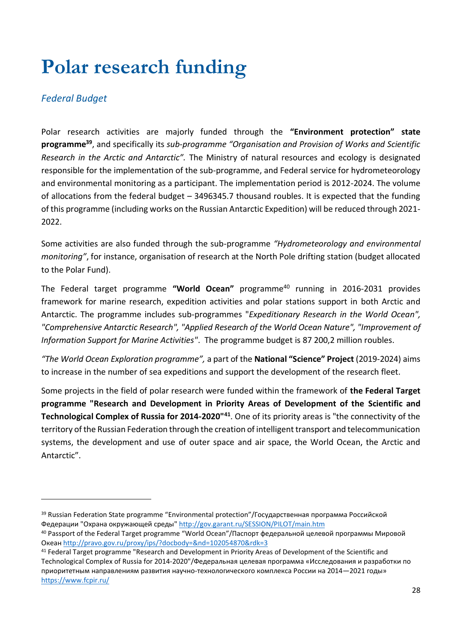## <span id="page-27-0"></span>**Polar research funding**

## <span id="page-27-1"></span>*Federal Budget*

Polar research activities are majorly funded through the **"Environment protection" state programme<sup>39</sup>**, and specifically its *sub-programme "Organisation and Provision of Works and Scientific Research in the Arctic and Antarctic".* The Ministry of natural resources and ecology is designated responsible for the implementation of the sub-programme, and Federal service for hydrometeorology and environmental monitoring as a participant. The implementation period is 2012-2024. The volume of allocations from the federal budget – 3496345.7 thousand roubles. It is expected that the funding of this programme (including works on the Russian Antarctic Expedition) will be reduced through 2021- 2022.

Some activities are also funded through the sub-programme *"Hydrometeorology and environmental monitoring"*, for instance, organisation of research at the North Pole drifting station (budget allocated to the Polar Fund).

The Federal target programme **"World Ocean"** programme<sup>40</sup> running in 2016-2031 provides framework for marine research, expedition activities and polar stations support in both Arctic and Antarctic. The programme includes sub-programmes "*Expeditionary Research in the World Ocean", "Comprehensive Antarctic Research", "Applied Research of the World Ocean Nature", "Improvement of Information Support for Marine Activities"*. The programme budget is 87 200,2 million roubles.

*"The World Ocean Exploration programme",* a part of the **National "Science" Project** (2019-2024) aims to increase in the number of sea expeditions and support the development of the research fleet.

Some projects in the field of polar research were funded within the framework of **the Federal Target programme "Research and Development in Priority Areas of Development of the Scientific and Technological Complex of Russia for 2014-2020"<sup>41</sup>**. One of its priority areas is "the connectivity of the territory of the Russian Federation through the creation of intelligent transport and telecommunication systems, the development and use of outer space and air space, the World Ocean, the Arctic and Antarctic".

<sup>&</sup>lt;sup>39</sup> Russian Federation State programme "Environmental protection"/Государственная программа Российской Федерации "Охрана окружающей среды" <http://gov.garant.ru/SESSION/PILOT/main.htm>

<sup>40</sup> Passport of the Federal Target programme "World Ocean"/Паспорт федеральной целевой программы Мировой Океан <http://pravo.gov.ru/proxy/ips/?docbody=&nd=102054870&rdk=3>

<sup>41</sup> Federal Target programme "Research and Development in Priority Areas of Development of the Scientific and Technological Complex of Russia for 2014-2020"/Федеральная целевая программа «Исследования и разработки по приоритетным направлениям развития научно-технологического комплекса России на 2014—2021 годы» <https://www.fcpir.ru/>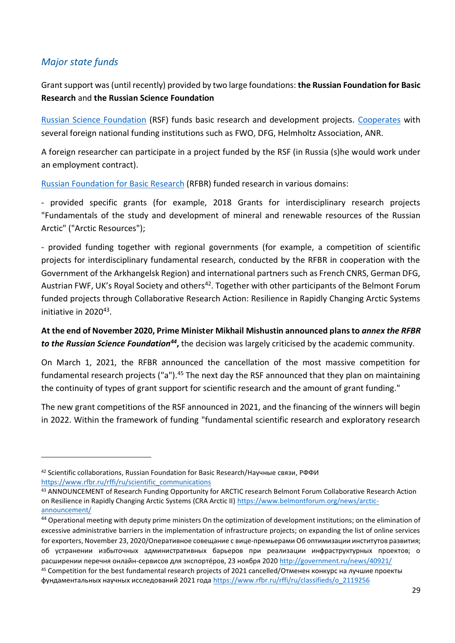## <span id="page-28-0"></span>*Major state funds*

Grant support was (until recently) provided by two large foundations: **the Russian Foundation for Basic Research** and **the Russian Science Foundation**

[Russian Science Foundation](https://www.rscf.ru/en/) (RSF) funds basic research and development projects. [Cooperates](https://www.rscf.ru/en/contests/international-cooperation/) with several foreign national funding institutions such as FWO, DFG, Helmholtz Association, ANR.

A foreign researcher can participate in a project funded by the RSF (in Russia (s)he would work under an employment contract).

[Russian](https://www.rfbr.ru/rffi/eng) [Foundation](https://www.rfbr.ru/rffi/eng) [for](https://www.rfbr.ru/rffi/eng) [Basic](https://www.rfbr.ru/rffi/eng) [Research](https://www.rfbr.ru/rffi/eng) (RFBR) funded research in various domains:

- provided specific grants (for example, 2018 Grants for interdisciplinary research projects "Fundamentals of the study and development of mineral and renewable resources of the Russian Arctic" ("Arctic Resources");

- provided funding together with regional governments (for example, a competition of scientific projects for interdisciplinary fundamental research, conducted by the RFBR in cooperation with the Government of the Arkhangelsk Region) and international partners such as French CNRS, German DFG, Austrian FWF, UK's Royal Society and others<sup>42</sup>. Together with other participants of the Belmont Forum funded projects through Collaborative Research Action: Resilience in Rapidly Changing Arctic Systems initiative in 2020<sup>43</sup>.

**At the end of November 2020, Prime Minister Mikhail Mishustin announced plans to** *annex the RFBR to the Russian Science Foundation<sup>44</sup>* **,** the decision was largely criticised by the academic community.

On March 1, 2021, the RFBR announced the cancellation of the most massive competition for fundamental research projects ("a").<sup>45</sup> The next day the RSF announced that they plan on maintaining the continuity of types of grant support for scientific research and the amount of grant funding."

The new grant competitions of the RSF announced in 2021, and the financing of the winners will begin in 2022. Within the framework of funding "fundamental scientific research and exploratory research

<sup>&</sup>lt;sup>42</sup> Scientific collaborations, Russian Foundation for Basic Research/Научные связи, РФФИ [https://www.rfbr.ru/rffi/ru/scientific\\_communications](https://www.rfbr.ru/rffi/ru/scientific_communications)

<sup>43</sup> ANNOUNCEMENT of Research Funding Opportunity for ARCTIC research Belmont Forum Collaborative Research Action on Resilience in Rapidly Changing Arctic Systems (CRA Arctic II[\) https://www.belmontforum.org/news/arctic](https://www.belmontforum.org/news/arctic-announcement/)[announcement/](https://www.belmontforum.org/news/arctic-announcement/)

<sup>44</sup> Operational meeting with deputy prime ministers On the optimization of development institutions; on the elimination of excessive administrative barriers in the implementation of infrastructure projects; on expanding the list of online services for exporters, November 23, 2020/Оперативное совещание с вице-премьерами Об оптимизации институтов развития; об устранении избыточных административных барьеров при реализации инфраструктурных проектов; о расширении перечня онлайн-сервисов для экспортёров, 23 ноября 2020 <http://government.ru/news/40921/>

<sup>45</sup> Competition for the best fundamental research projects of 2021 cancelled/Отменен конкурс на лучшие проекты фундаментальных научных исследований 2021 года [https://www.rfbr.ru/rffi/ru/classifieds/o\\_2119256](https://www.rfbr.ru/rffi/ru/classifieds/o_2119256)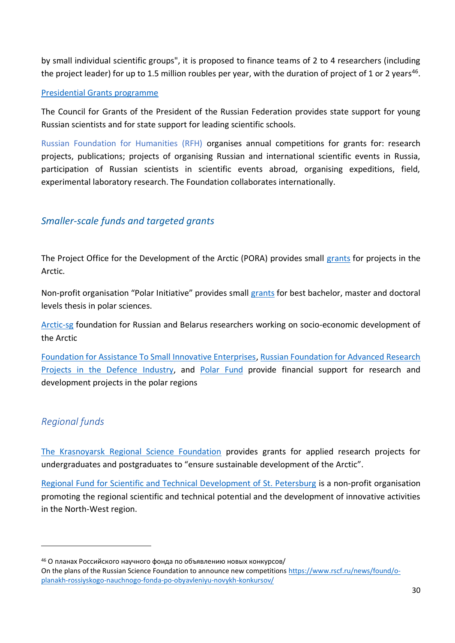by small individual scientific groups", it is proposed to finance teams of 2 to 4 researchers (including the project leader) for up to 1.5 million roubles per year, with the duration of project of 1 or 2 years<sup>46</sup>.

#### [Presidential Grants programme](http://www.pprgm.ru/program/)

The Council for Grants of the President of the Russian Federation provides state support for young Russian scientists and for state support for leading scientific schools.

Russian Foundation for Humanities (RFH) organises annual competitions for grants for: research projects, publications; projects of organising Russian and international scientific events in Russia, participation of Russian scientists in scientific events abroad, organising expeditions, field, experimental laboratory research. The Foundation collaborates internationally.

## <span id="page-29-0"></span>*Smaller-scale funds and targeted grants*

The Project Office for the Development of the Arctic (PORA) provides small [grants](https://porarctic.ru/grants/) for projects in the Arctic.

Non-profit organisation "Polar Initiative" provides small [grants](http://russianpolar.ru/) for best bachelor, master and doctoral levels thesis in polar sciences.

[Arctic-sg](https://arctica-sg.ru/) foundation for Russian and Belarus researchers working on socio-economic development of the Arctic

[Foundation for Assistance To Small Innovative Enterprises,](http://fasie.ru/) [Russian Foundation for Advanced Research](https://fpi.gov.ru/)  [Projects in the Defence](https://fpi.gov.ru/) Industry, and [Polar Fund](http://www.polarf.ru/) provide financial support for research and development projects in the polar regions

## <span id="page-29-1"></span>*Regional funds*

[The Krasnoyarsk Regional Science Foundation](http://www.sf-kras.ru/) provides grants for applied research projects for undergraduates and postgraduates to "ensure sustainable development of the Arctic".

[Regional Fund for Scientific and Technical Development of St. Petersburg](http://www.rfntr.neva.ru/rus/) is a non-profit organisation promoting the regional scientific and technical potential and the development of innovative activities in the North-West region.

<sup>46</sup> О планах Российского научного фонда по объявлению новых конкурсов/

On the plans of the Russian Science Foundation to announce new competition[s https://www.rscf.ru/news/found/o](https://www.rscf.ru/news/found/o-planakh-rossiyskogo-nauchnogo-fonda-po-obyavleniyu-novykh-konkursov/)[planakh-rossiyskogo-nauchnogo-fonda-po-obyavleniyu-novykh-konkursov/](https://www.rscf.ru/news/found/o-planakh-rossiyskogo-nauchnogo-fonda-po-obyavleniyu-novykh-konkursov/)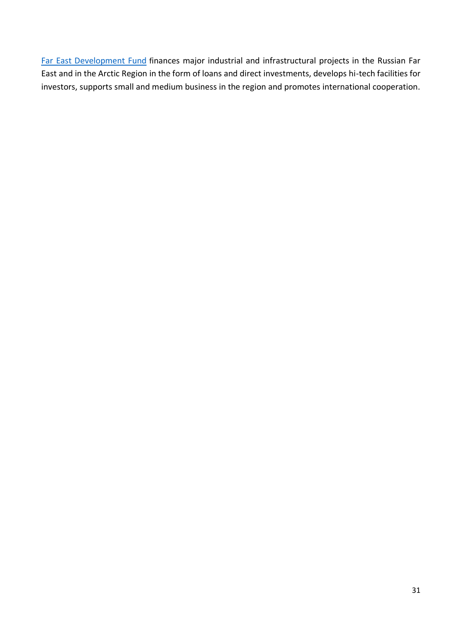[Far](https://www.fondvostok.ru/en/) [East](https://www.fondvostok.ru/en/) [Development](https://www.fondvostok.ru/en/) [Fund](https://www.fondvostok.ru/en/) finances major industrial and infrastructural projects in the Russian Far East and in the Arctic Region in the form of loans and direct investments, develops hi-tech facilities for investors, supports small and medium business in the region and promotes international cooperation.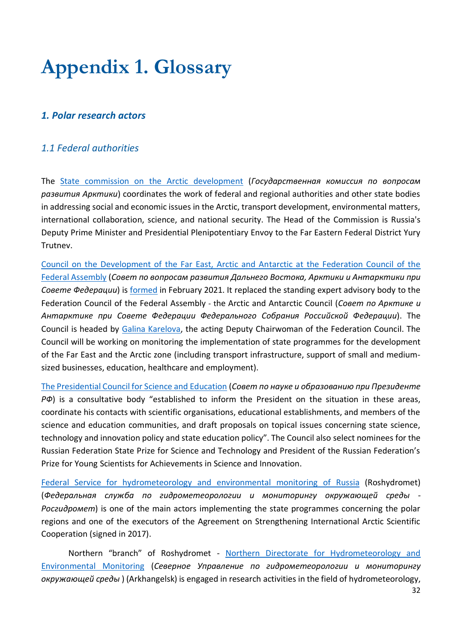## <span id="page-31-0"></span>**Appendix 1. Glossary**

## <span id="page-31-1"></span>*1. Polar research actors*

## <span id="page-31-2"></span>*1.1 Federal authorities*

The [State commission on the Arctic development](https://arctic.gov.ru/) (*Государственная комиссия по вопросам развития Арктики*) coordinates the work of federal and regional authorities and other state bodies in addressing social and economic issues in the Arctic, transport development, environmental matters, international collaboration, science, and national security. The Head of the Commission is Russia's Deputy Prime Minister and Presidential Plenipotentiary Envoy to the Far Eastern Federal District Yury Trutnev.

[Council on the Development of the Far East, Arctic and Antarctic](http://council.gov.ru/structure/docs/124820/) at the Federation Council of the [Federal Assembly](http://council.gov.ru/structure/docs/124820/) (*Совет по вопросам развития Дальнего Востока, Арктики и Антарктики при Совете Федерации*) i[s formed](http://council.gov.ru/activity/documents/123989/) in February 2021. It replaced the standing expert advisory body to the Federation Council of the Federal Assembly - the Arctic and Antarctic Council (*Совет по Арктике и Антарктике при Совете Федерации Федерального Собрания Российской Федерации*). The Council is headed by [Galina Karelova,](http://council.gov.ru/structure/persons/1038/) the acting Deputy Chairwoman of the Federation Council. The Council will be working on monitoring the implementation of state programmes for the development of the Far East and the Arctic zone (including transport infrastructure, support of small and mediumsized businesses, education, healthcare and employment).

[The Presidential Council for Science and Education](http://science.gov.ru/) (*Совет по науке и образованию при Президенте РФ*) is a consultative body "established to inform the President on the situation in these areas, coordinate his contacts with scientific organisations, educational establishments, and members of the science and education communities, and draft proposals on topical issues concerning state science, technology and innovation policy and state education policy". The Council also select nominees for the Russian Federation State Prize for Science and Technology and President of the Russian Federation's Prize for Young Scientists for Achievements in Science and Innovation.

[Federal Service for hydrometeorology and environmental monitoring of Russia](http://www.meteorf.ru/) (Roshydromet) (*Федеральная служба по гидрометеорологии и мониторингу окружающей среды - Росгидромет*) is one of the main actors implementing the state programmes concerning the polar regions and one of the executors of the Agreement on Strengthening International Arctic Scientific Cooperation (signed in 2017).

 Northern "branch" of Roshydromet - [Northern Directorate for Hydrometeorology and](http://www.sevmeteo.ru/)  [Environmental Monitoring](http://www.sevmeteo.ru/) (*Северное Управление по гидрометеорологии и мониторингу окружающей среды* ) (Arkhangelsk) is engaged in research activities in the field of hydrometeorology,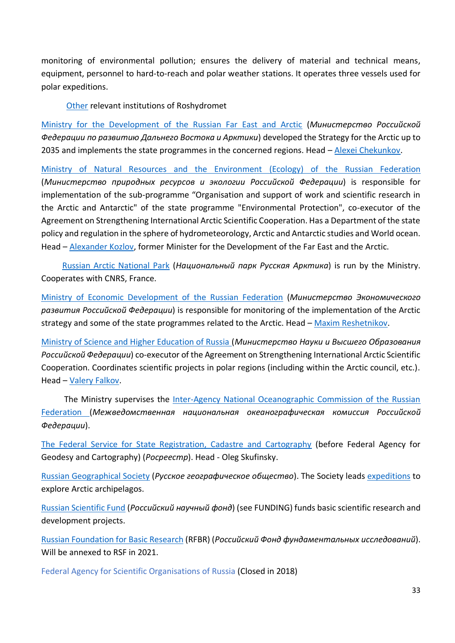monitoring of environmental pollution; ensures the delivery of material and technical means, equipment, personnel to hard-to-reach and polar weather stations. It operates three vessels used for polar expeditions.

[Other](http://www.meteorf.ru/about/structure/niu/) relevant institutions of Roshydromet

[Ministry for the Development of the Russian Far East and Arctic](https://minvr.gov.ru/) (*Министерство Российской Федерации по развитию Дальнего Востока и Арктики*) developed the Strategy for the Arctic up to 2035 and implements the state programmes in the concerned regions. Head - [Alexei Chekunkov.](https://minvr.gov.ru/about/rukovodstvo/chekunkov-aleksey-olegovich/)

[Ministry of Natural Resources and the Environment](https://www.mnr.gov.ru/) [\(Ecology\) of the Russian Federation](https://www.mnr.gov.ru/en/) (*Министeрство природных ресурсов и экологии Российской Федерации*) is responsible for implementation of the sub-programme "Organisation and support of work and scientific research in the Arctic and Antarctic" of the state programme "Environmental Protection", co-executor of the Agreement on Strengthening International Arctic Scientific Cooperation. Has a Department of the state policy and regulation in the sphere of hydrometeorology, Arctic and Antarctic studies and World ocean. Head – [Alexander Kozlov,](https://www.mnr.gov.ru/about/minister/) former Minister for the Development of the Far East and the Arctic.

 [Russian Arctic National Park](http://www.rus-arc.ru/) (*Национальный парк Русская Арктика*) is run by the Ministry. Cooperates with CNRS, France.

[Ministry of Economic Development of the Russian Federation](https://en.economy.gov.ru/) (*Министерство Экономического развития Российской Федерации*) is responsible for monitoring of the implementation of the Arctic strategy and some of the state programmes related to the Arctic. Head – [Maxim Reshetnikov.](https://en.economy.gov.ru/material/structure/minister/)

[Ministry of Science and Higher Education of Russia](https://www.minobrnauki.gov.ru/) (*Министерство Науки и Высшего Образования Российской Федерации*) co-executor of the Agreement on Strengthening International Arctic Scientific Cooperation. Coordinates scientific projects in polar regions (including within the Arctic council, etc.). Head – [Valery Falkov.](https://www.minobrnauki.gov.ru/about/governance/detail.php?ELEMENT_ID=33)

 The Ministry supervises the [Inter-Agency National Oceanographic Commission of the Russian](https://minobrnauki.gov.ru/colleges_councils/kollegialnye-organy/mnok/)  [Federation](https://minobrnauki.gov.ru/colleges_councils/kollegialnye-organy/mnok/) (*Межведомственная национальная океанографическая комиссия Российской Федерации*).

[The Federal Service for State Registration, Cadastre and Cartography](https://rosreestr.ru/site/en/about/) (before Federal Agency for Geodesy and Cartography) (*Росреестр*). Head - Oleg Skufinsky.

Russian [Geographical](https://www.rgo.ru/ru) Society (*Русское географическое общество*). The Society leads [expeditions](https://www.rgo.ru/ru/proekty/ekspedicii-rgo/glavnyy-fasad-rossii-istoriya-sobytiya-lyudi) to explore Arctic archipelagos.

[Russian Scientific Fund](https://www.rscf.ru/en/) (*Российский научный фонд*) (see FUNDING) funds basic scientific research and development projects.

[Russian](https://www.rfbr.ru/rffi/eng) [Foundation](https://www.rfbr.ru/rffi/eng) [for](https://www.rfbr.ru/rffi/eng) [Basic](https://www.rfbr.ru/rffi/eng) [Research](https://www.rfbr.ru/rffi/eng) (RFBR) (*Российский Фонд фундаментальных исследований*). Will be annexed to RSF in 2021.

Federal Agency for Scientific Organisations of Russia (Closed in 2018)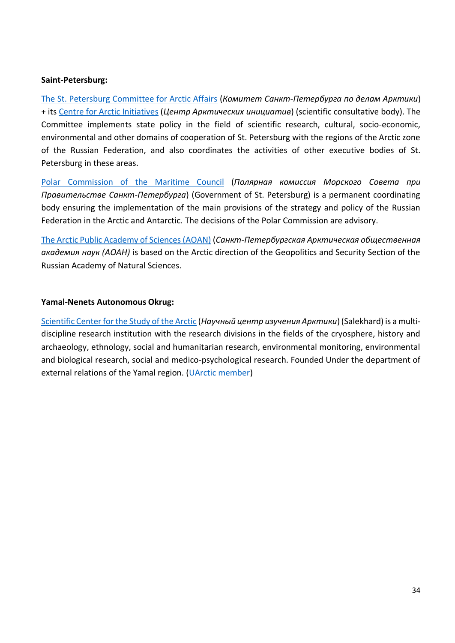#### **Saint-Petersburg:**

[The St. Petersburg Committee for Arctic Affairs](https://www.gov.spb.ru/gov/otrasl/arkt/) (*Комитет Санкт-Петербурга по делам Арктики*) + its Centre [for Arctic Initiatives](https://www.gov.spb.ru/static/writable/ckeditor/uploads/2019/09/04/46/распоряжение_ЦАИ.pdf) (*Центр Арктических инициатив*) (scientific consultative body). The Committee implements state policy in the field of scientific research, cultural, socio-economic, environmental and other domains of cooperation of St. Petersburg with the regions of the Arctic zone of the Russian Federation, and also coordinates the activities of other executive bodies of St. Petersburg in these areas.

[Polar Commission of the Maritime Council](https://www.gov.spb.ru/gov/morsovet/polozhenie/) (*Полярная комиссия Морского Совета при Правительстве Санкт-Петербурга*) (Government of St. Petersburg) is a permanent coordinating body ensuring the implementation of the main provisions of the strategy and policy of the Russian Federation in the Arctic and Antarctic. The decisions of the Polar Commission are advisory.

[The Arctic Public Academy of Sciences \(AOAN\)](http://arcticas.ru/) (*Санкт-Петербургская Арктическая общественная академия наук (АОАН)* is based on the Arctic direction of the Geopolitics and Security Section of the Russian Academy of Natural Sciences.

#### **Yamal-Nenets Autonomous Okrug:**

[Scientific Center for the Study of the Arctic](https://arctic.yanao.ru/about/) (*Научный центр изучения Арктики*) (Salekhard) is a multidiscipline research institution with the research divisions in the fields of the cryosphere, history and archaeology, ethnology, social and humanitarian research, environmental monitoring, environmental and biological research, social and medico-psychological research. Founded Under the department of external relations of the Yamal region. [\(UArctic member\)](https://www.uarctic.org/member-profiles/russia/33417/arctic-research-center-of-the-yamal-nenets-autonomous-district)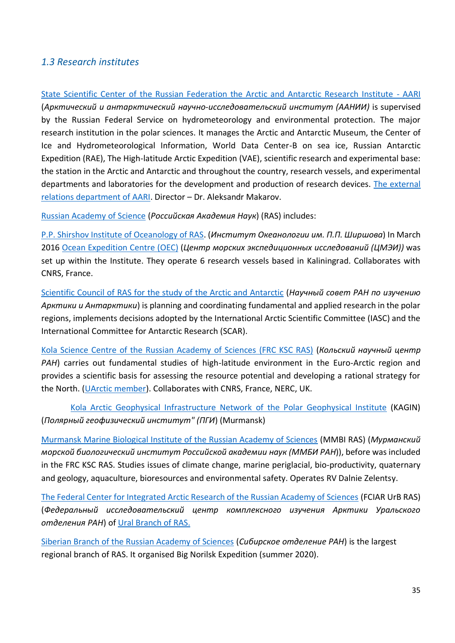### <span id="page-34-0"></span>*1.3 Research institutes*

[State Scientific Center of the Russian Federation the Arctic and Antarctic Research Institute -](http://www.aari.ru/main.php?lg=1&id=54) AARI (*Арктический и антарктический научно-исследовательский институт (ААНИИ)* is supervised by the Russian Federal Service on hydrometeorology and environmental protection. The major research institution in the polar sciences. It manages the Arctic and Antarctic Museum, the Center of Ice and Hydrometeorological Information, World Data Center-B on sea ice, Russian Antarctic Expedition (RAE), The High-latitude Arctic Expedition (VAE), scientific research and experimental base: the station in the Arctic and Antarctic and throughout the country, research vessels, and experimental departments and laboratories for the development and production of research devices. [The external](http://www.aari.ru/dept/form_dept/_dept.php?id=60)  [relations department of AARI.](http://www.aari.ru/dept/form_dept/_dept.php?id=60) Director – Dr. Aleksandr Makarov.

[Russian Academy of Science](http://www.ras.ru/) (*Российская Академия Наук*) (RAS) includes:

P.P. [Shirshov Institute of Oceanology of RAS.](https://ocean.ru/en/) (*Институт Океанологии им. П.П. Ширшова*) In March 2016 [Ocean Expedition Centre](http://rv.ocean.ru/en/about/) (OEC) (*Центр морских экспедиционных исследований (ЦМЭИ))* was set up within the Institute. They operate 6 research vessels based in Kaliningrad. Collaborates with CNRS, France.

[Scientific Council of RAS for the study of the Arctic and Antarctic](http://igras.ru/138) (*Научный совет РАН по изучению Арктики и Антарктики*) is planning and coordinating fundamental and applied research in the polar regions, implements decisions adopted by the International Arctic Scientific Committee (IASC) and the International Committee for Antarctic Research (SCAR).

Kola Science Centre [of the Russian Academy of Sciences \(FRC KSC RAS\)](https://www.ksc.ru/en/) (*Кольский научный центр РАН*) carries out fundamental studies of high-latitude environment in the Euro-Arctic region and provides a scientific basis for assessing the resource potential and developing a rational strategy for the North. [\(UArctic member\)](https://www.uarctic.org/member-profiles/russia/8541/federal-research-center-kola-science-center-of-the-russian-academy-of-sciences). Collaborates with CNRS, France, NERC, UK.

 [Kola Arctic Geophysical Infrastructure Network](http://pgi.ru/kagin/eng/?id=home) [of the Polar Geophysical Institute](http://pgi.ru/kagin/eng/?id=home) (KAGIN) (*Полярный геофизический институт" (ПГИ*) (Murmansk)

[Murmansk Marine Biological Institute of the Russian Academy of Sciences](http://www.mmbi.info/eng/aboutus/) (MMBI RAS) (*Мурманский морской биологический институт Российской академии наук (ММБИ РАН*)), before was included in the FRC KSC RAS. Studies issues of climate change, marine periglacial, bio-productivity, quaternary and geology, aquaculture, bioresources and environmental safety. Operates RV Dalnie Zelentsy.

[The Federal Center for Integrated Arctic Research of the Russian Academy of Sciences](http://fciarctic.ru/ing.php?page=main) (FCIAR UrB RAS) (*Федеральный исследовательский центр комплексного изучения Арктики Уральского*  **отделения РАН) of [Ural Branch of RAS.](http://www.uran.ru/)** 

[Siberian Branch of the Russian Academy of Sciences](https://www.sbras.ru/en) (*Сибирское отделение РАН*) is the largest regional branch of RAS. It organised Big Norilsk Expedition (summer 2020).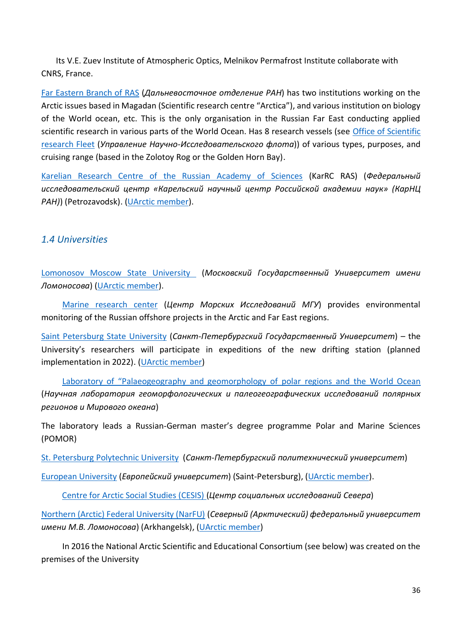Its V.E. Zuev Institute of Atmospheric Optics, Melnikov Permafrost Institute collaborate with CNRS, France.

[Far Eastern Branch of RAS](http://www.febras.ru/2012-01-25-06-37-30.html) (*Дальневосточное отделение РАН*) has two institutions working on the Arctic issues based in Magadan (Scientific research centre "Arctica"), and various institution on biology of the World ocean, etc. This is the only organisation in the Russian Far East conducting applied scientific research in various parts of the World Ocean. Has 8 research vessels (see Office of Scientific [research Fleet](http://www.uniffebras.ru/) (*Управление Научно-Исследовательского флота*)) of various types, purposes, and cruising range (based in the Zolotoy Rog or the Golden Horn Bay).

[Karelian Research Centre of the Russian Academy of Sciences](http://www.krc.karelia.ru/) (KarRC RAS) (*Федеральный исследовательский центр «Карельский научный центр Российской академии наук» (КарНЦ РАН)*) (Petrozavodsk). [\(UArctic member\)](https://www.uarctic.org/member-profiles/russia/8528/karelian-research-centre-of-the-russian-academy-of-sciences).

### <span id="page-35-0"></span>*1.4 Universities*

[Lomonosov](https://www.msu.ru/en/) Moscow State University (*Московский Государственный Университет имени Ломоносова*) (UArctic [member\)](https://www.uarctic.org/member-profiles/russia/8558/lomonosov-moscow-state-university).

 [Marine research center](https://marine-rc.ru/english-version/) (*Центр Морских Исследований МГУ*) provides environmental monitoring of the Russian offshore projects in the Arctic and Far East regions.

[Saint Petersburg State University](https://english.spbu.ru/) (*Санкт-Петербургский Государственный Университет*) – the University's researchers will participate in expeditions of the new drifting station (planned implementation in 2022). [\(UArctic member\)](https://www.uarctic.org/member-profiles/russia/8707/st-petersburg-university)

 [Laboratory of "Palaeogeography and geomorphology of polar regions and the Wo](http://geolab.spbu.ru/about-our-laboratory/)rld Ocean (*Научная лаборатория геоморфологических и палеогеографических исследований полярных регионов и Мирового океана*)

The laboratory leads a Russian-German master's degree programme Polar and Marine Sciences (POMOR)

[St. Petersburg](https://www.spbstu.ru/) Polytechnic University (*Санкт-Петербургский политехнический университет*)

[European](https://eusp.org/en) [University](https://eusp.org/en) (*Европейский университет*) (Saint-Petersburg), [\(UArctic member\)](https://www.uarctic.org/member-profiles/russia/8508/european-university-at-st-petersburg).

Centre [for Arctic Social Studies \(CESIS\)](https://eusp.org/arctic-social-sciences/about) (*Центр социальных исследований Севера*)

[Northern \(Arctic\) Federal University \(NarFU\)](http://www.narfu.ru/) (*Северный (Арктический) федеральный университет имени М.В. Ломоносова*) (Arkhangelsk), [\(UArctic member\)](https://www.uarctic.org/member-profiles/russia/8660/northern-arctic-federal-university)

 In 2016 the National Arctic Scientific and Educational Consortium (see below) was created on the premises of the University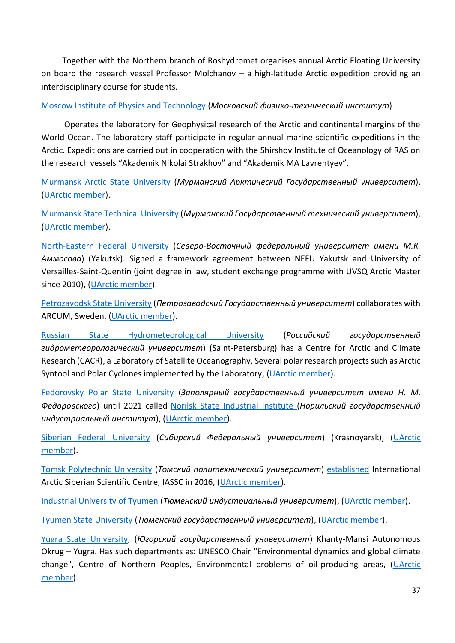Together with the Northern branch of Roshydromet organises annual Arctic Floating University on board the research vessel Professor Molchanov – a high-latitude Arctic expedition providing an interdisciplinary course for students.

#### [Moscow Institute of Physics and Technology](https://mipt.ru/english/) (*Московский физико-технический институт*)

 Operates the laboratory for Geophysical research of the Arctic and continental margins of the World Ocean. The laboratory staff participate in regular annual marine scientific expeditions in the Arctic. Expeditions are carried out in cooperation with the Shirshov Institute of Oceanology of RAS on the research vessels "Akademik Nikolai Strakhov" and "Akademik MA Lavrentyev".

[Murmansk Arctic State University](http://www.mspu.edu.ru/) (*Мурманский Арктический Государственный университет*), [\(UArctic member\)](https://www.uarctic.org/member-profiles/russia/8600/murmansk-arctic-state-university).

[Murmansk State Technical University](http://www.mstu.edu.ru/) (*Мурманский Государственный технический университет*), [\(UArctic member\)](https://www.uarctic.org/member-profiles/russia/8603/murmansk-state-technical-university).

[North-Eastern](https://www.s-vfu.ru/en/) Federal University (*Северо-Восточный федеральный университет имени М.К. Аммосова*) (Yakutsk). Signed a framework agreement between NEFU Yakutsk and University of Versailles-Saint-Quentin (joint degree in law, student exchange programme with UVSQ Arctic Master since 2010), [\(UArctic member\)](https://www.uarctic.org/member-profiles/russia/8640/north-eastern-federal-university).

[Petrozavodsk State University](https://petrsu.ru/en) (*Петрозаводский Государственный университет*) collaborates with ARCUM, Sweden, [\(UArctic member\)](https://www.uarctic.org/member-profiles/russia/8681/petrozavodsk-state-university).

[Russian State Hydrometeorological University](http://www.rshu.ru/eng/) (*Российский государственный гидрометеорологический университет*) (Saint-Petersburg) has a Centre for Arctic and Climate Research (CACR), a Laboratory of Satellite Oceanography. Several polar research projects such as Arctic Syntool and Polar Cyclones implemented by the Laboratory, [\(UArctic member\)](https://www.uarctic.org/member-profiles/russia/8400/russian-state-hydrometeorological-university).

[Fedorovsky Polar State University](https://www.norvuz.ru/) (*Заполярный государственный университет имени Н. М. Федоровского*) until 2021 called Norilsk State [Industrial](https://norvuz.ru/) Institute (*Норильский государственный индустриальный институт*), (UArctic [member\)](https://www.uarctic.org/member-profiles/russia/8613/norilsk-state-industrial-institute/AllRelated).

[Siberian Federal University](http://www.sfu-kras.ru/en) (*Сибирский Федеральный университет*) (Krasnoyarsk), [\(UArctic](https://www.uarctic.org/member-profiles/russia/11219/siberian-federal-university)  [member\)](https://www.uarctic.org/member-profiles/russia/11219/siberian-federal-university).

[Tomsk Polytechnic University](https://tpu.ru/en) (*Томский политехнический университет*) [established](https://tpu.ru/en/about/tpu_today/news/view?id=425) International Arctic Siberian Scientific Centre, IASSC in 2016, [\(UArctic member\)](https://www.uarctic.org/member-profiles/russia/34499/tomsk-polytechnic-university).

[Industrial University of Tyumen](https://www.tyuiu.ru/) (*Тюменский индустриальный университет*), [\(UArctic member\)](https://www.uarctic.org/member-profiles/russia/11221/industrial-university-of-tyumen).

Tyumen State [University](http://www.utmn.ru/en/) (*Тюменский государственный университет*), (UArctic [member\)](https://www.uarctic.org/member-profiles/russia/8798/tyumen-state-university).

Yugra State [University,](http://en.ugrasu.ru/) (*Югорский государственный университет*) Khanty-Mansi Autonomous Okrug – Yugra. Has such departments as: UNESCO Chair "Environmental dynamics and global climate change", Centre of Northern Peoples, Environmental problems of oil-producing areas, (UArctic [member\)](https://www.uarctic.org/member-profiles/russia/8937/yugra-state-university).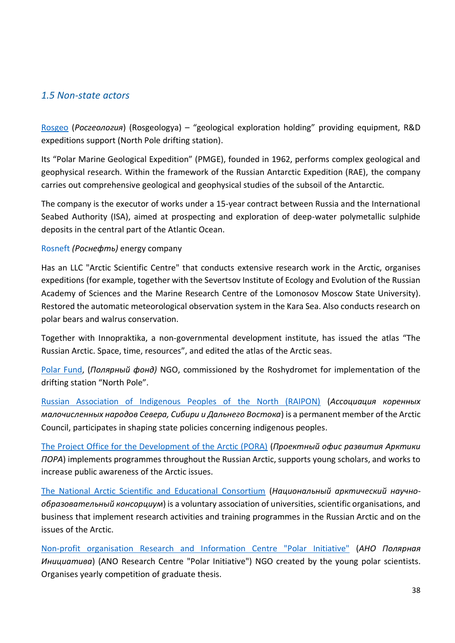## <span id="page-37-0"></span>*1.5 Non-state actors*

[Rosgeo](https://www.rosgeo.com/en/) (*Росгеология*) (Rosgeologya) – "geological exploration holding" providing equipment, R&D expeditions support (North Pole drifting station).

Its "Polar Marine Geological Expedition" (PMGE), founded in 1962, performs complex geological and geophysical research. Within the framework of the Russian Antarctic Expedition (RAE), the company carries out comprehensive geological and geophysical studies of the subsoil of the Antarctic.

The company is the executor of works under a 15-year contract between Russia and the International Seabed Authority (ISA), aimed at prospecting and exploration of deep-water polymetallic sulphide deposits in the central part of the Atlantic Ocean.

#### Rosneft *(Роснефть)* energy company

Has an LLC "Arctic Scientific Centre" that conducts extensive research work in the Arctic, organises expeditions (for example, together with the Severtsov Institute of Ecology and Evolution of the Russian Academy of Sciences and the Marine Research Centre of the Lomonosov Moscow State University). Restored the automatic meteorological observation system in the Kara Sea. Also conducts research on polar bears and walrus conservation.

Together with Innopraktika, a non-governmental development institute, has issued the atlas "The Russian Arctic. Space, time, resources", and edited the atlas of the Arctic seas.

[Polar Fund,](http://www.polarf.ru/) (*Полярный фонд)* NGO, commissioned by the Roshydromet for implementation of the drifting station "North Pole".

[Russian Association of Indigenous Peoples of the North \(RAIPON\)](http://en.raipon.info/) (*Ассоциация коренных малочисленных народов Севера, Сибири и Дальнего Востока*) is a permanent member of the Arctic Council, participates in shaping state policies concerning indigenous peoples.

[The Project Office for the Development of the Arctic \(PORA\)](https://porarctic.ru/en/) (*Проектный офис развития Арктики ПОРА*) implements programmes throughout the Russian Arctic, supports young scholars, and works to increase public awareness of the Arctic issues.

[The National Arctic Scientific and Educational Consortium](http://arctic-union.ru/docs/) (*Национальный арктический научнообразовательный консорциум*) is a voluntary association of universities, scientific organisations, and business that implement research activities and training programmes in the Russian Arctic and on the issues of the Arctic.

[Non-profit organisation Research and Information Centre](http://russianpolar.ru/) "Polar Initiative" (*АНО Полярная Инициатива*) (ANO Research Centre "Polar Initiative") NGO created by the young polar scientists. Organises yearly competition of graduate thesis.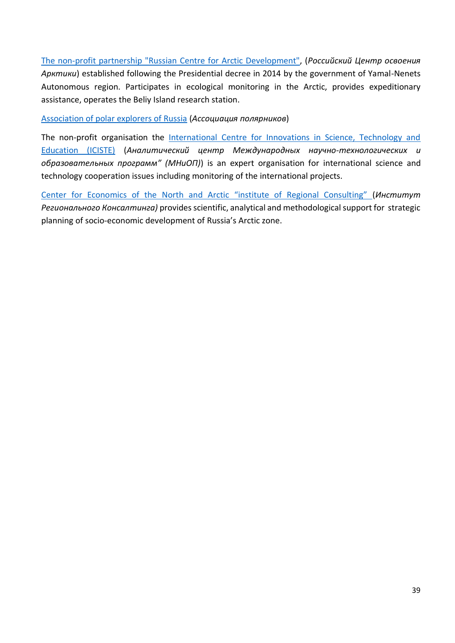[The non-profit partnership "Russian Centre](http://arctic-rf.ru/czentr/o-czentre/) for Arctic Development", (*Российский Центр освоения Арктики*) established following the Presidential decree in 2014 by the government of Yamal-Nenets Autonomous region. Participates in ecological monitoring in the Arctic, provides expeditionary assistance, operates the Beliy Island research station.

[Association of polar explorers of Russia](http://aspolrf.ru/) (*Ассоциация полярников*)

The non-profit organisation the International Centre for Innovations in Science, Technology and [Education \(ICISTE\)](http://mniop.ru/en/about) (*Аналитический центр Международных научно-технологических и образовательных программ" (МНиОП)*) is an expert organisation for international science and technology cooperation issues including monitoring of the international projects.

[Center for Economics of the North and Arctic "institute of Regional Consulting"](https://www.regionalconsulting.org/) (*Институт Регионального Консалтинга)* provides scientific, analytical and methodological support for strategic planning of socio-economic development of Russia's Arctic zone.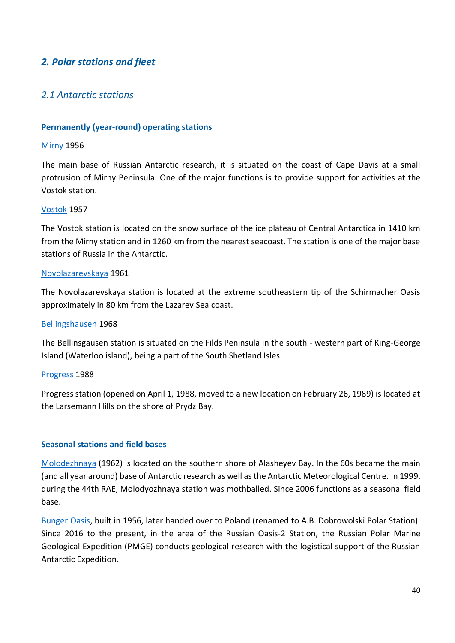## <span id="page-39-0"></span>*2. Polar stations and fleet*

## <span id="page-39-1"></span>*2.1 Antarctic stations*

#### **Permanently (year-round) operating stations**

#### [Mirny](http://www.aari.aq/stations/mir/mir_en.html) 1956

The main base of Russian Antarctic research, it is situated on the coast of Cape Davis at a small protrusion of Mirny Peninsula. One of the major functions is to provide support for activities at the Vostok station.

#### [Vostok](http://www.aari.aq/default_en.html) 1957

The Vostok station is located on the snow surface of the ice plateau of Central Antarctica in 1410 km from the Mirny station and in 1260 km from the nearest seacoast. The station is one of the major base stations of Russia in the Antarctic.

#### [Novolazarevskaya](http://www.aari.aq/stations/lazarev/lazarev_en.html) 1961

The Novolazarevskaya station is located at the extreme southeastern tip of the Schirmacher Oasis approximately in 80 km from the Lazarev Sea coast.

#### [Bellingshausen](http://www.aari.aq/stations/bell/bell_en.html) 1968

The Bellinsgausen station is situated on the Filds Peninsula in the south - western part of King-George Island (Waterloo island), being a part of the South Shetland Isles.

#### [Progress](http://www.aari.aq/default_en.html) 1988

Progress station (opened on April 1, 1988, moved to a new location on February 26, 1989) is located at the Larsemann Hills on the shore of Prydz Bay.

#### **Seasonal stations and field bases**

[Molodezhnaya](http://www.aari.aq/default_en.html) (1962) is located on the southern shore of Alasheyev Bay. In the 60s became the main (and all year around) base of Antarctic research as well as the Antarctic Meteorological Centre. In 1999, during the 44th RAE, Molodyozhnaya station was mothballed. Since 2006 functions as a seasonal field base.

[Bunger Oasis,](https://dobrowolski.igf.edu.pl/en/about/) built in 1956, later handed over to Poland (renamed to A.B. Dobrowolski Polar Station). Since 2016 to the present, in the area of the Russian Oasis-2 Station, the Russian Polar Marine Geological Expedition (PMGE) conducts geological research with the logistical support of the Russian Antarctic Expedition.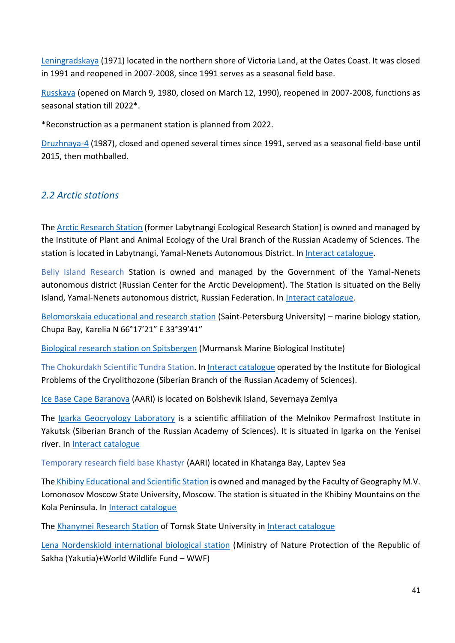[Leningradskaya](http://www.aari.aq/default_en.html) (1971) located in the northern shore of Victoria Land, at the Oates Coast. It was closed in 1991 and reopened in 2007-2008, since 1991 serves as a seasonal field base.

[Russkaya](http://www.aari.aq/default_en.html) (opened on March 9, 1980, closed on March 12, 1990), reopened in 2007-2008, functions as seasonal station till 2022\*.

\*Reconstruction as a permanent station is planned from 2022.

[Druzhnaya-4](http://www.aari.aq/default_en.html) (1987), closed and opened several times since 1991, served as a seasonal field-base until 2015, then mothballed.

## <span id="page-40-0"></span>*2.2 Arctic stations*

Th[e Arctic Research Station](https://ipae.uran.ru/enis) (former Labytnangi Ecological Research Station) is owned and managed by the Institute of Plant and Animal Ecology of the Ural Branch of the Russian Academy of Sciences. The station is located in Labytnangi, Yamal-Nenets Autonomous District. I[n Interact catalogue.](https://eu-interact.org/field-sites/the-arctic-research-station-former-labytnangi-ecological-research-station/)

Beliy Island Research Station is owned and managed by the Government of the Yamal-Nenets autonomous district (Russian Center for the Arctic Development). The Station is situated on the Beliy Island, Yamal-Nenets autonomous district, Russian Federation. In [Interact catalogue.](https://eu-interact.org/field-sites/beliy-island-research-station/)

[Belomorskaia educational and research station](http://mbs.spbu.ru/en/) (Saint-Petersburg University) – marine biology station, Chupa Bay, Karelia N 66°17′21″ E 33°39′41″

[Biological research station on Spitsbergen](http://www.mmbi.info/eng/bio_stations/) (Murmansk Marine Biological Institute)

The Chokurdakh Scientific Tundra Station. I[n Interact catalogue](https://eu-interact.org/field-sites/chokurdakh-scientific-tundra-station/) operated by the Institute for Biological Problems of the Cryolithozone (Siberian Branch of the Russian Academy of Sciences).

[Ice Base Cape Baranova](http://globalcryospherewatch.org/cryonet/sitepage.php?surveyid=51) (AARI) is located on Bolshevik Island, Severnaya Zemlya

The [Igarka Geocryology Laboratory](https://mpi.ysn.ru/ru/struct/labs/igarskaya-geokriologichekaya-laboratoriya) is a scientific affiliation of the Melnikov Permafrost Institute in Yakutsk (Siberian Branch of the Russian Academy of Sciences). It is situated in Igarka on the Yenisei river. In **Interact catalogue** 

Temporary research field base Khastyr (AARI) located in Khatanga Bay, Laptev Sea

Th[e Khibiny Educational and Scientific Station](http://www.geogr.msu.ru/practics/stations/hib/) is owned and managed by the Faculty of Geography M.V. Lomonosov Moscow State University, Moscow. The station is situated in the Khibiny Mountains on the Kola Peninsula. In [Interact catalogue](https://eu-interact.org/field-sites/khibiny-educational-and-scientific-station/)

Th[e Khanymei Research Station](http://biogeoclim.tsu.ru/en/laboratory/capabilities/station) of Tomsk State University i[n Interact catalogue](https://eu-interact.org/field-sites/khanymey-research-station/)

[Lena Nordenskiold international biological station](https://minpriroda.sakha.gov.ru/arhiv1/gbu-rsja-mbs-lena-nordensheld/-fotogalereja) (Ministry of Nature Protection of the Republic of Sakha (Yakutia)+World Wildlife Fund – WWF)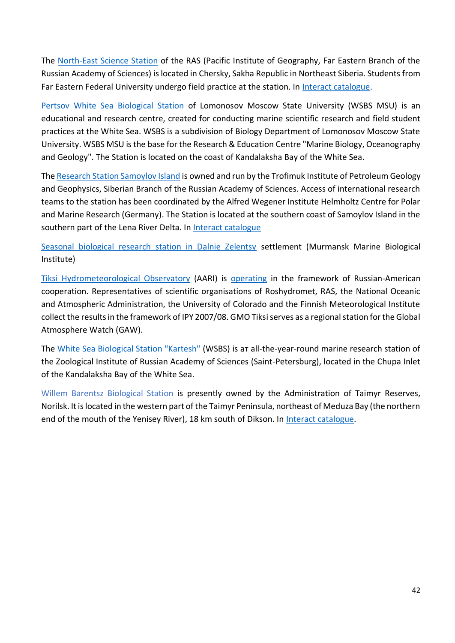The [North-East Science Station](http://www.febras.ru/statsionary/statsionary-primorskogo-nauchnogo-tsentra/125-severo-vostochnaya-baza-v-pos-cherskom.html) of the RAS (Pacific Institute of Geography, Far Eastern Branch of the Russian Academy of Sciences) is located in Chersky, Sakha Republic in Northeast Siberia. Students from Far Eastern Federal University undergo field practice at the station. In [Interact catalogue.](https://eu-interact.org/field-sites/north-east-science-station/)

[Pertsov White Sea Biological Station](http://en.wsbs-msu.ru/doc/index.php?ID=13) of Lomonosov Moscow State University (WSBS MSU) is an educational and research centre, created for conducting marine scientific research and field student practices at the White Sea. WSBS is a subdivision of Biology Department of Lomonosov Moscow State University. WSBS MSU is the base for the Research & Education Centre "Marine Biology, Oceanography and Geology". The Station is located on the coast of Kandalaksha Bay of the White Sea.

Th[e Research Station Samoylov Island](http://www.ipgg.sbras.ru/en/institute/structure/arctic-centre) is owned and run by the Trofimuk Institute of Petroleum Geology and Geophysics, Siberian Branch of the Russian Academy of Sciences. Access of international research teams to the station has been coordinated by the Alfred Wegener Institute Helmholtz Centre for Polar and Marine Research (Germany). The Station is located at the southern coast of Samoylov Island in the southern part of the Lena River Delta. In [Interact catalogue](https://eu-interact.org/field-sites/research-station-samoylov-island/)

[Seasonal biological research station in Dalnie Zelentsy](http://www.mmbi.info/eng/bio_stations/) settlement (Murmansk Marine Biological Institute)

[Tiksi Hydrometeorological Observatory](https://public.wmo.int/en/resources/bulletin/tiksi-international-hydrometeorological-observatory-arctic-members-partnership) (AARI) is [operating](https://ikfia.ysn.ru/institute/struktura/filialy/polyarnaya-geokosmofizicheskaya-observatoriya/) in the framework of Russian-American cooperation. Representatives of scientific organisations of Roshydromet, RAS, the National Oceanic and Atmospheric Administration, the University of Colorado and the Finnish Meteorological Institute collect the results in the framework of IPY 2007/08. GMO Tiksi serves as a regional station for the Global Atmosphere Watch (GAW).

The [White Sea Biological Station "Kartesh"](https://www.zin.ru/kartesh/default_en.asp) (WSBS) is aт all-the-year-round marine research station of the Zoological Institute of Russian Academy of Sciences (Saint-Petersburg), located in the Chupa Inlet of the Kandalaksha Bay of the White Sea.

Willem Barentsz Biological Station is presently owned by the Administration of Taimyr Reserves, Norilsk. It is located in the western part of the Taimyr Peninsula, northeast of Meduza Bay (the northern end of the mouth of the Yenisey River), 18 km south of Dikson. In [Interact catalogue.](https://eu-interact.org/field-sites/willem-barents-biological-station/)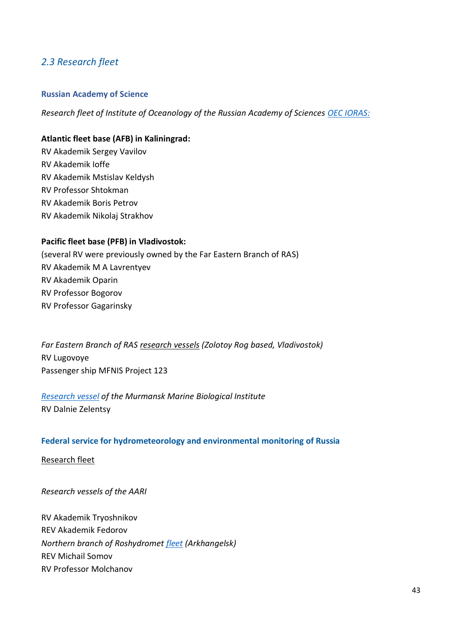## <span id="page-42-0"></span>*2.3 Research fleet*

#### **Russian Academy of Science**

*Research fleet of Institute of Oceanology of the Russian Academy of Sciences [OEC IORAS:](http://rv.ocean.ru/en/flot/)*

#### **Atlantic fleet base (AFB) in Kaliningrad:**

RV Akademik Sergey Vavilov RV Akademik Ioffe RV Akademik Mstislav Keldysh RV Professor Shtokman RV Akademik Boris Petrov RV Akademik Nikolaj Strakhov

#### **Pacific fleet base (PFB) in Vladivostok:**

(several RV were previously owned by the Far Eastern Branch of RAS) RV Akademik M A Lavrentyev RV Akademik Oparin RV Professor Bogorov RV Professor Gagarinsky

*Far Eastern Branch of RAS [research vessels](http://www.uniffebras.ru/index.php?type=21) (Zolotoy Rog based, Vladivostok)* RV Lugovoye Passenger ship MFNIS Project 123

*[Research vessel](http://www.mmbi.info/expeditsii/nauchnyi-flot/) of the Murmansk Marine Biological Institute* RV Dalnie Zelentsy

#### **Federal service for hydrometeorology and environmental monitoring of Russia**

[Research fleet](http://www.meteorf.ru/documents/21/18901/)

*Research vessels of the AARI*

RV Akademik Tryoshnikov REV Akademik Fedorov *Northern branch of Roshydromet [fleet](http://sevmeteo.ru/press/base/) (Arkhangelsk)*  REV Michail Somov RV Professor Molchanov